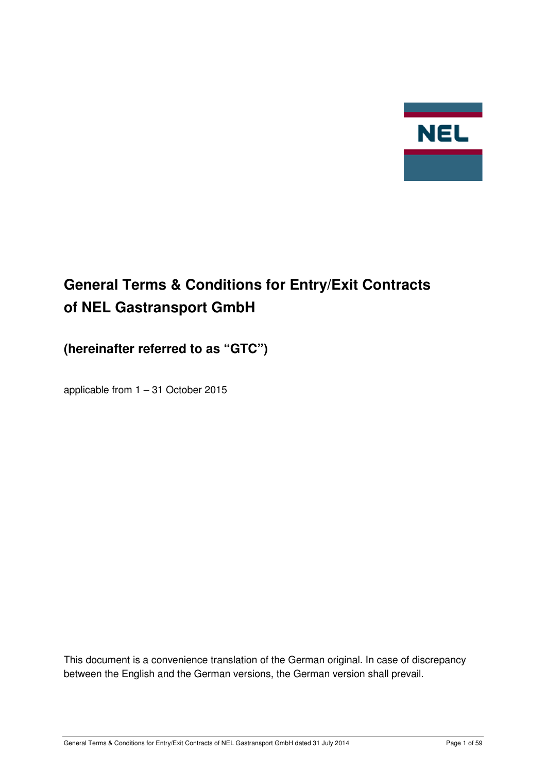

# **General Terms & Conditions for Entry/Exit Contracts of NEL Gastransport GmbH**

# **(hereinafter referred to as "GTC")**

applicable from 1 – 31 October 2015

This document is a convenience translation of the German original. In case of discrepancy between the English and the German versions, the German version shall prevail.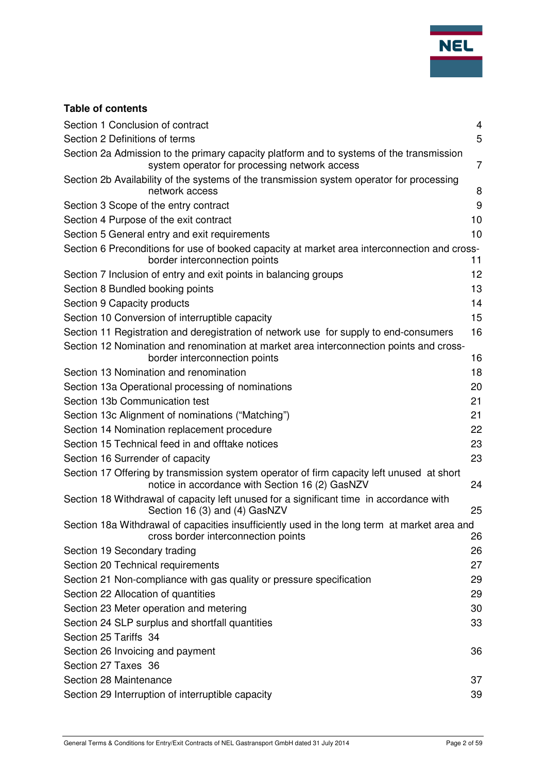

# **Table of contents**

| Section 1 Conclusion of contract                                                                                                             | $\overline{4}$ |
|----------------------------------------------------------------------------------------------------------------------------------------------|----------------|
| Section 2 Definitions of terms                                                                                                               | 5              |
| Section 2a Admission to the primary capacity platform and to systems of the transmission<br>system operator for processing network access    | $\overline{7}$ |
| Section 2b Availability of the systems of the transmission system operator for processing<br>network access                                  | 8              |
| Section 3 Scope of the entry contract                                                                                                        | 9              |
| Section 4 Purpose of the exit contract                                                                                                       | 10             |
| Section 5 General entry and exit requirements                                                                                                | 10             |
| Section 6 Preconditions for use of booked capacity at market area interconnection and cross-<br>border interconnection points                | 11             |
| Section 7 Inclusion of entry and exit points in balancing groups                                                                             | 12             |
| Section 8 Bundled booking points                                                                                                             | 13             |
| Section 9 Capacity products                                                                                                                  | 14             |
| Section 10 Conversion of interruptible capacity                                                                                              | 15             |
| Section 11 Registration and deregistration of network use for supply to end-consumers                                                        | 16             |
| Section 12 Nomination and renomination at market area interconnection points and cross-<br>border interconnection points                     | 16             |
| Section 13 Nomination and renomination                                                                                                       | 18             |
| Section 13a Operational processing of nominations                                                                                            | 20             |
| Section 13b Communication test                                                                                                               | 21             |
| Section 13c Alignment of nominations ("Matching")                                                                                            | 21             |
| Section 14 Nomination replacement procedure                                                                                                  | 22             |
| Section 15 Technical feed in and offtake notices                                                                                             | 23             |
| Section 16 Surrender of capacity                                                                                                             | 23             |
| Section 17 Offering by transmission system operator of firm capacity left unused at short<br>notice in accordance with Section 16 (2) GasNZV | 24             |
| Section 18 Withdrawal of capacity left unused for a significant time in accordance with<br>Section 16 (3) and (4) GasNZV                     | 25             |
| Section 18a Withdrawal of capacities insufficiently used in the long term at market area and                                                 |                |
| cross border interconnection points                                                                                                          | 26             |
| Section 19 Secondary trading                                                                                                                 | 26             |
| Section 20 Technical requirements                                                                                                            | 27             |
| Section 21 Non-compliance with gas quality or pressure specification                                                                         | 29             |
| Section 22 Allocation of quantities                                                                                                          | 29             |
| Section 23 Meter operation and metering                                                                                                      | 30             |
| Section 24 SLP surplus and shortfall quantities                                                                                              | 33             |
| Section 25 Tariffs 34                                                                                                                        |                |
| Section 26 Invoicing and payment                                                                                                             | 36             |
| Section 27 Taxes 36                                                                                                                          |                |
| Section 28 Maintenance                                                                                                                       | 37             |
| Section 29 Interruption of interruptible capacity                                                                                            | 39             |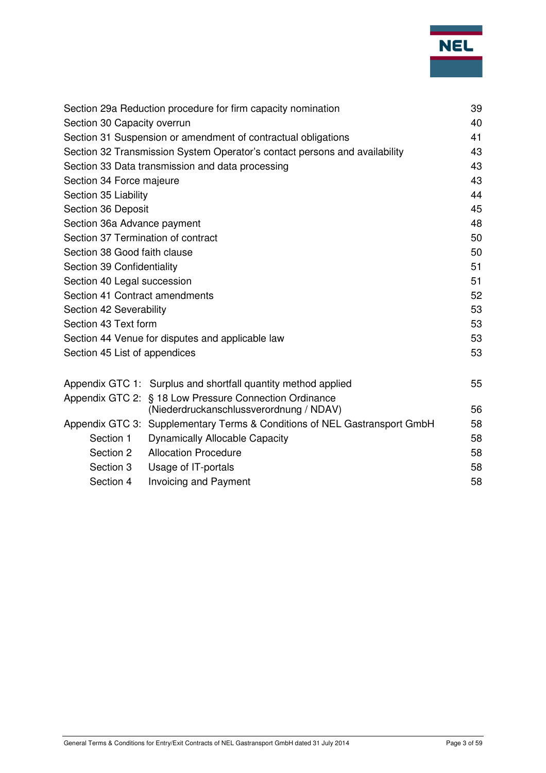

| Section 29a Reduction procedure for firm capacity nomination |                                                                            |    |
|--------------------------------------------------------------|----------------------------------------------------------------------------|----|
| Section 30 Capacity overrun                                  |                                                                            |    |
|                                                              | Section 31 Suspension or amendment of contractual obligations              | 41 |
|                                                              | Section 32 Transmission System Operator's contact persons and availability | 43 |
| Section 33 Data transmission and data processing             |                                                                            |    |
| Section 34 Force majeure                                     |                                                                            | 43 |
| Section 35 Liability                                         |                                                                            | 44 |
| Section 36 Deposit                                           |                                                                            | 45 |
| Section 36a Advance payment                                  |                                                                            | 48 |
| Section 37 Termination of contract                           |                                                                            | 50 |
| Section 38 Good faith clause                                 |                                                                            | 50 |
| Section 39 Confidentiality                                   |                                                                            | 51 |
| Section 40 Legal succession                                  |                                                                            | 51 |
| Section 41 Contract amendments                               |                                                                            |    |
| Section 42 Severability                                      |                                                                            | 53 |
| Section 43 Text form                                         |                                                                            | 53 |
| Section 44 Venue for disputes and applicable law             |                                                                            | 53 |
| Section 45 List of appendices                                |                                                                            | 53 |
|                                                              | Appendix GTC 1: Surplus and shortfall quantity method applied              | 55 |
|                                                              | Appendix GTC 2: § 18 Low Pressure Connection Ordinance                     |    |
|                                                              | (Niederdruckanschlussverordnung / NDAV)                                    | 56 |
|                                                              | Appendix GTC 3: Supplementary Terms & Conditions of NEL Gastransport GmbH  | 58 |
| Section 1                                                    | <b>Dynamically Allocable Capacity</b>                                      | 58 |
| Section 2                                                    | <b>Allocation Procedure</b>                                                | 58 |
| Section 3                                                    | Usage of IT-portals                                                        | 58 |
| Section 4                                                    | <b>Invoicing and Payment</b>                                               | 58 |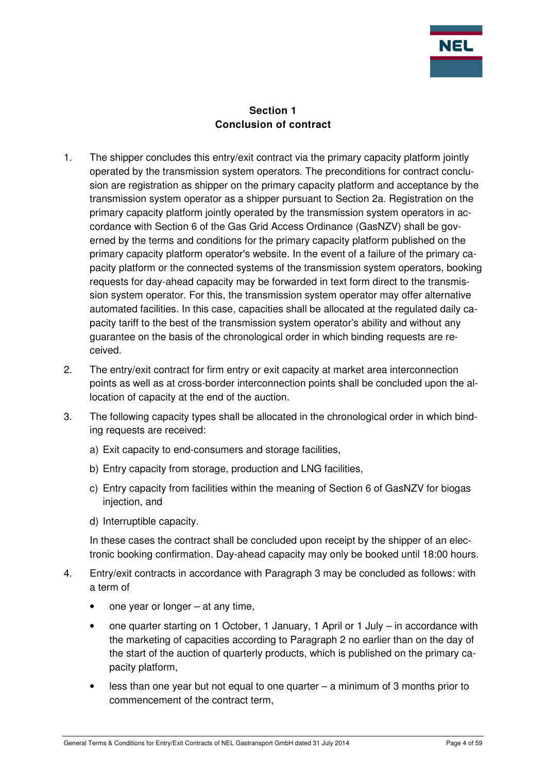

## **Section 1 Conclusion of contract**

- 1. The shipper concludes this entry/exit contract via the primary capacity platform jointly operated by the transmission system operators. The preconditions for contract conclusion are registration as shipper on the primary capacity platform and acceptance by the transmission system operator as a shipper pursuant to Section 2a. Registration on the primary capacity platform jointly operated by the transmission system operators in accordance with Section 6 of the Gas Grid Access Ordinance (GasNZV) shall be governed by the terms and conditions for the primary capacity platform published on the primary capacity platform operator's website. In the event of a failure of the primary capacity platform or the connected systems of the transmission system operators, booking requests for day-ahead capacity may be forwarded in text form direct to the transmission system operator. For this, the transmission system operator may offer alternative automated facilities. In this case, capacities shall be allocated at the regulated daily capacity tariff to the best of the transmission system operator's ability and without any guarantee on the basis of the chronological order in which binding requests are received.
- 2. The entry/exit contract for firm entry or exit capacity at market area interconnection points as well as at cross-border interconnection points shall be concluded upon the allocation of capacity at the end of the auction.
- 3. The following capacity types shall be allocated in the chronological order in which binding requests are received:
	- a) Exit capacity to end-consumers and storage facilities,
	- b) Entry capacity from storage, production and LNG facilities,
	- c) Entry capacity from facilities within the meaning of Section 6 of GasNZV for biogas injection, and
	- d) Interruptible capacity.

In these cases the contract shall be concluded upon receipt by the shipper of an electronic booking confirmation. Day-ahead capacity may only be booked until 18:00 hours.

- 4. Entry/exit contracts in accordance with Paragraph 3 may be concluded as follows: with a term of
	- one year or longer at any time,
	- one quarter starting on 1 October, 1 January, 1 April or 1 July in accordance with the marketing of capacities according to Paragraph 2 no earlier than on the day of the start of the auction of quarterly products, which is published on the primary capacity platform,
	- less than one year but not equal to one quarter a minimum of 3 months prior to commencement of the contract term,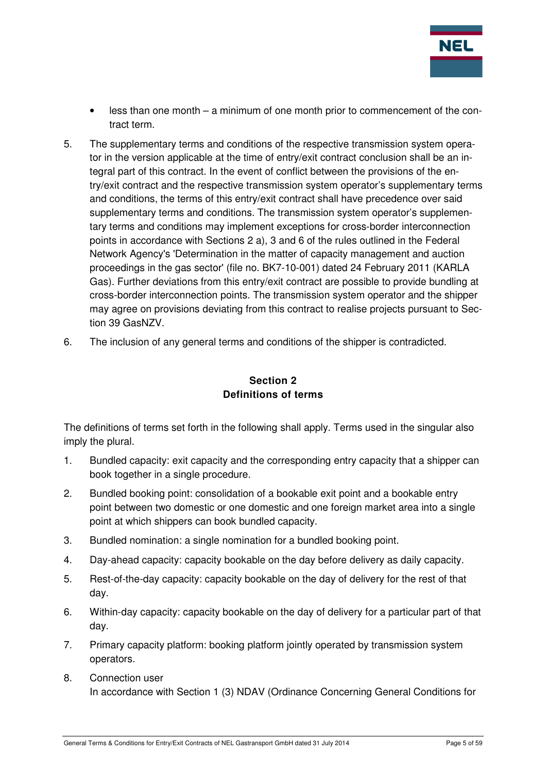

- less than one month a minimum of one month prior to commencement of the contract term.
- 5. The supplementary terms and conditions of the respective transmission system operator in the version applicable at the time of entry/exit contract conclusion shall be an integral part of this contract. In the event of conflict between the provisions of the entry/exit contract and the respective transmission system operator's supplementary terms and conditions, the terms of this entry/exit contract shall have precedence over said supplementary terms and conditions. The transmission system operator's supplementary terms and conditions may implement exceptions for cross-border interconnection points in accordance with Sections 2 a), 3 and 6 of the rules outlined in the Federal Network Agency's 'Determination in the matter of capacity management and auction proceedings in the gas sector' (file no. BK7-10-001) dated 24 February 2011 (KARLA Gas). Further deviations from this entry/exit contract are possible to provide bundling at cross-border interconnection points. The transmission system operator and the shipper may agree on provisions deviating from this contract to realise projects pursuant to Section 39 GasNZV.
- 6. The inclusion of any general terms and conditions of the shipper is contradicted.

# **Section 2 Definitions of terms**

The definitions of terms set forth in the following shall apply. Terms used in the singular also imply the plural.

- 1. Bundled capacity: exit capacity and the corresponding entry capacity that a shipper can book together in a single procedure.
- 2. Bundled booking point: consolidation of a bookable exit point and a bookable entry point between two domestic or one domestic and one foreign market area into a single point at which shippers can book bundled capacity.
- 3. Bundled nomination: a single nomination for a bundled booking point.
- 4. Day-ahead capacity: capacity bookable on the day before delivery as daily capacity.
- 5. Rest-of-the-day capacity: capacity bookable on the day of delivery for the rest of that day.
- 6. Within-day capacity: capacity bookable on the day of delivery for a particular part of that day.
- 7. Primary capacity platform: booking platform jointly operated by transmission system operators.
- 8. Connection user In accordance with Section 1 (3) NDAV (Ordinance Concerning General Conditions for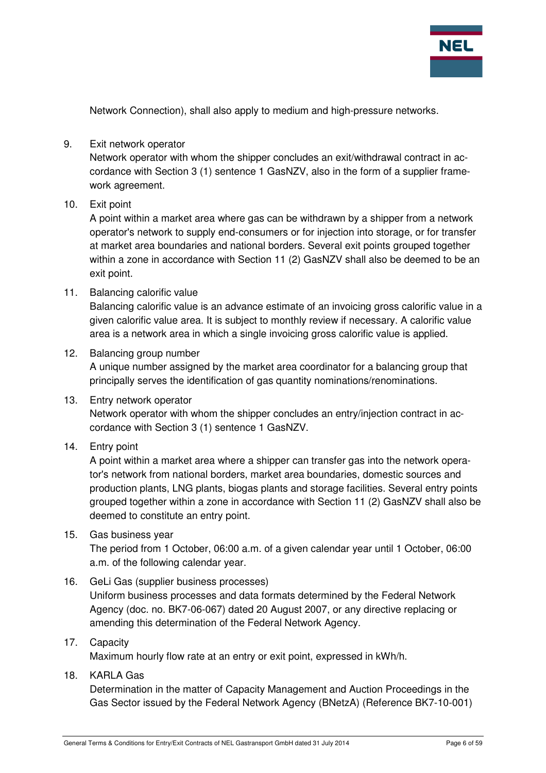

Network Connection), shall also apply to medium and high-pressure networks.

#### 9. Exit network operator

Network operator with whom the shipper concludes an exit/withdrawal contract in accordance with Section 3 (1) sentence 1 GasNZV, also in the form of a supplier framework agreement.

#### 10. Exit point

A point within a market area where gas can be withdrawn by a shipper from a network operator's network to supply end-consumers or for injection into storage, or for transfer at market area boundaries and national borders. Several exit points grouped together within a zone in accordance with Section 11 (2) GasNZV shall also be deemed to be an exit point.

#### 11. Balancing calorific value

Balancing calorific value is an advance estimate of an invoicing gross calorific value in a given calorific value area. It is subject to monthly review if necessary. A calorific value area is a network area in which a single invoicing gross calorific value is applied.

#### 12. Balancing group number

A unique number assigned by the market area coordinator for a balancing group that principally serves the identification of gas quantity nominations/renominations.

#### 13. Entry network operator

Network operator with whom the shipper concludes an entry/injection contract in accordance with Section 3 (1) sentence 1 GasNZV.

#### 14. Entry point

A point within a market area where a shipper can transfer gas into the network operator's network from national borders, market area boundaries, domestic sources and production plants, LNG plants, biogas plants and storage facilities. Several entry points grouped together within a zone in accordance with Section 11 (2) GasNZV shall also be deemed to constitute an entry point.

#### 15. Gas business year

The period from 1 October, 06:00 a.m. of a given calendar year until 1 October, 06:00 a.m. of the following calendar year.

#### 16. GeLi Gas (supplier business processes)

Uniform business processes and data formats determined by the Federal Network Agency (doc. no. BK7-06-067) dated 20 August 2007, or any directive replacing or amending this determination of the Federal Network Agency.

#### 17. Capacity

Maximum hourly flow rate at an entry or exit point, expressed in kWh/h.

#### 18. KARLA Gas

Determination in the matter of Capacity Management and Auction Proceedings in the Gas Sector issued by the Federal Network Agency (BNetzA) (Reference BK7-10-001)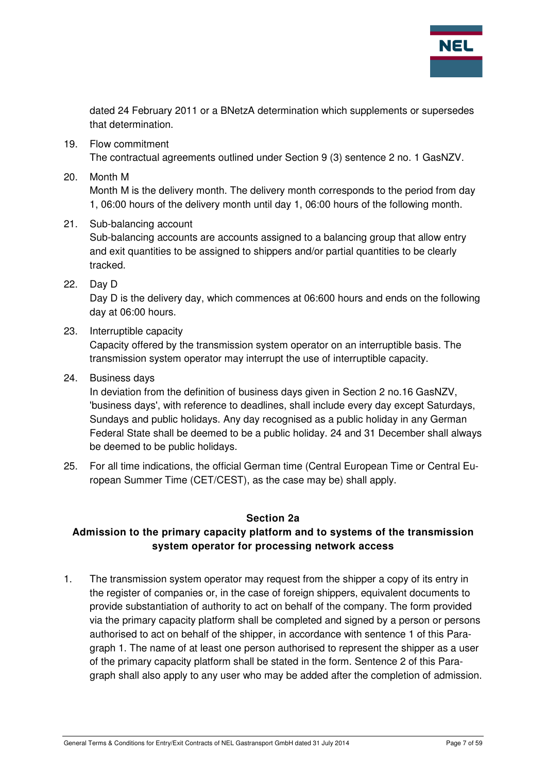

dated 24 February 2011 or a BNetzA determination which supplements or supersedes that determination.

- 19. Flow commitment The contractual agreements outlined under Section 9 (3) sentence 2 no. 1 GasNZV.
- 20. Month M

Month M is the delivery month. The delivery month corresponds to the period from day 1, 06:00 hours of the delivery month until day 1, 06:00 hours of the following month.

21. Sub-balancing account

Sub-balancing accounts are accounts assigned to a balancing group that allow entry and exit quantities to be assigned to shippers and/or partial quantities to be clearly tracked.

22. Day D

Day D is the delivery day, which commences at 06:600 hours and ends on the following day at 06:00 hours.

23. Interruptible capacity

Capacity offered by the transmission system operator on an interruptible basis. The transmission system operator may interrupt the use of interruptible capacity.

24. Business days

In deviation from the definition of business days given in Section 2 no.16 GasNZV, 'business days', with reference to deadlines, shall include every day except Saturdays, Sundays and public holidays. Any day recognised as a public holiday in any German Federal State shall be deemed to be a public holiday. 24 and 31 December shall always be deemed to be public holidays.

25. For all time indications, the official German time (Central European Time or Central European Summer Time (CET/CEST), as the case may be) shall apply.

#### **Section 2a**

# **Admission to the primary capacity platform and to systems of the transmission system operator for processing network access**

1. The transmission system operator may request from the shipper a copy of its entry in the register of companies or, in the case of foreign shippers, equivalent documents to provide substantiation of authority to act on behalf of the company. The form provided via the primary capacity platform shall be completed and signed by a person or persons authorised to act on behalf of the shipper, in accordance with sentence 1 of this Paragraph 1. The name of at least one person authorised to represent the shipper as a user of the primary capacity platform shall be stated in the form. Sentence 2 of this Paragraph shall also apply to any user who may be added after the completion of admission.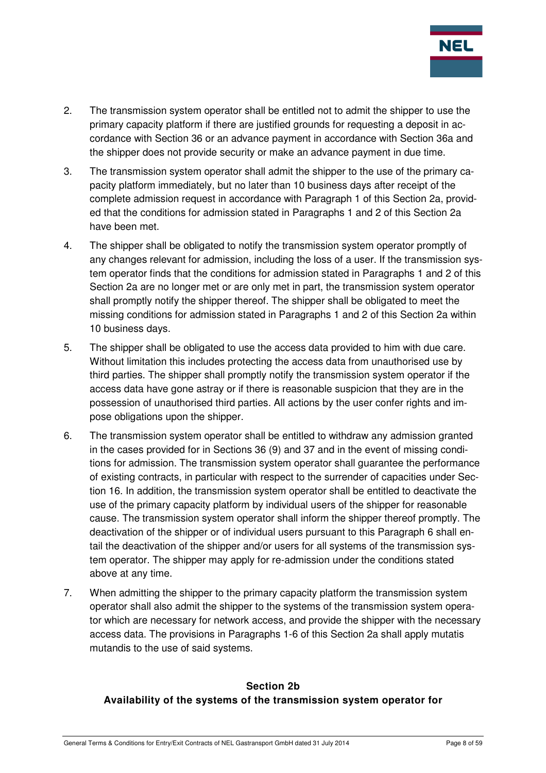

- 2. The transmission system operator shall be entitled not to admit the shipper to use the primary capacity platform if there are justified grounds for requesting a deposit in accordance with Section 36 or an advance payment in accordance with Section 36a and the shipper does not provide security or make an advance payment in due time.
- 3. The transmission system operator shall admit the shipper to the use of the primary capacity platform immediately, but no later than 10 business days after receipt of the complete admission request in accordance with Paragraph 1 of this Section 2a, provided that the conditions for admission stated in Paragraphs 1 and 2 of this Section 2a have been met.
- 4. The shipper shall be obligated to notify the transmission system operator promptly of any changes relevant for admission, including the loss of a user. If the transmission system operator finds that the conditions for admission stated in Paragraphs 1 and 2 of this Section 2a are no longer met or are only met in part, the transmission system operator shall promptly notify the shipper thereof. The shipper shall be obligated to meet the missing conditions for admission stated in Paragraphs 1 and 2 of this Section 2a within 10 business days.
- 5. The shipper shall be obligated to use the access data provided to him with due care. Without limitation this includes protecting the access data from unauthorised use by third parties. The shipper shall promptly notify the transmission system operator if the access data have gone astray or if there is reasonable suspicion that they are in the possession of unauthorised third parties. All actions by the user confer rights and impose obligations upon the shipper.
- 6. The transmission system operator shall be entitled to withdraw any admission granted in the cases provided for in Sections 36 (9) and 37 and in the event of missing conditions for admission. The transmission system operator shall guarantee the performance of existing contracts, in particular with respect to the surrender of capacities under Section 16. In addition, the transmission system operator shall be entitled to deactivate the use of the primary capacity platform by individual users of the shipper for reasonable cause. The transmission system operator shall inform the shipper thereof promptly. The deactivation of the shipper or of individual users pursuant to this Paragraph 6 shall entail the deactivation of the shipper and/or users for all systems of the transmission system operator. The shipper may apply for re-admission under the conditions stated above at any time.
- 7. When admitting the shipper to the primary capacity platform the transmission system operator shall also admit the shipper to the systems of the transmission system operator which are necessary for network access, and provide the shipper with the necessary access data. The provisions in Paragraphs 1-6 of this Section 2a shall apply mutatis mutandis to the use of said systems.

# **Section 2b Availability of the systems of the transmission system operator for**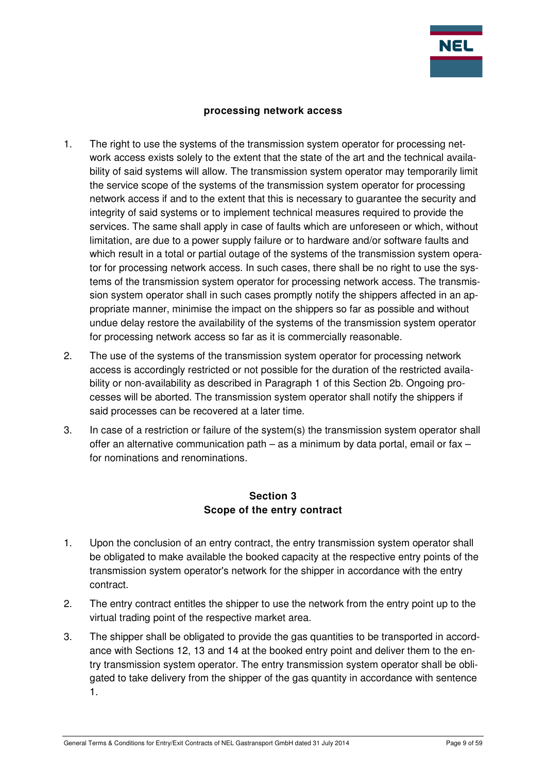

#### **processing network access**

- 1. The right to use the systems of the transmission system operator for processing network access exists solely to the extent that the state of the art and the technical availability of said systems will allow. The transmission system operator may temporarily limit the service scope of the systems of the transmission system operator for processing network access if and to the extent that this is necessary to guarantee the security and integrity of said systems or to implement technical measures required to provide the services. The same shall apply in case of faults which are unforeseen or which, without limitation, are due to a power supply failure or to hardware and/or software faults and which result in a total or partial outage of the systems of the transmission system operator for processing network access. In such cases, there shall be no right to use the systems of the transmission system operator for processing network access. The transmission system operator shall in such cases promptly notify the shippers affected in an appropriate manner, minimise the impact on the shippers so far as possible and without undue delay restore the availability of the systems of the transmission system operator for processing network access so far as it is commercially reasonable.
- 2. The use of the systems of the transmission system operator for processing network access is accordingly restricted or not possible for the duration of the restricted availability or non-availability as described in Paragraph 1 of this Section 2b. Ongoing processes will be aborted. The transmission system operator shall notify the shippers if said processes can be recovered at a later time.
- 3. In case of a restriction or failure of the system(s) the transmission system operator shall offer an alternative communication path – as a minimum by data portal, email or fax – for nominations and renominations.

## **Section 3 Scope of the entry contract**

- 1. Upon the conclusion of an entry contract, the entry transmission system operator shall be obligated to make available the booked capacity at the respective entry points of the transmission system operator's network for the shipper in accordance with the entry contract.
- 2. The entry contract entitles the shipper to use the network from the entry point up to the virtual trading point of the respective market area.
- 3. The shipper shall be obligated to provide the gas quantities to be transported in accordance with Sections 12, 13 and 14 at the booked entry point and deliver them to the entry transmission system operator. The entry transmission system operator shall be obligated to take delivery from the shipper of the gas quantity in accordance with sentence 1.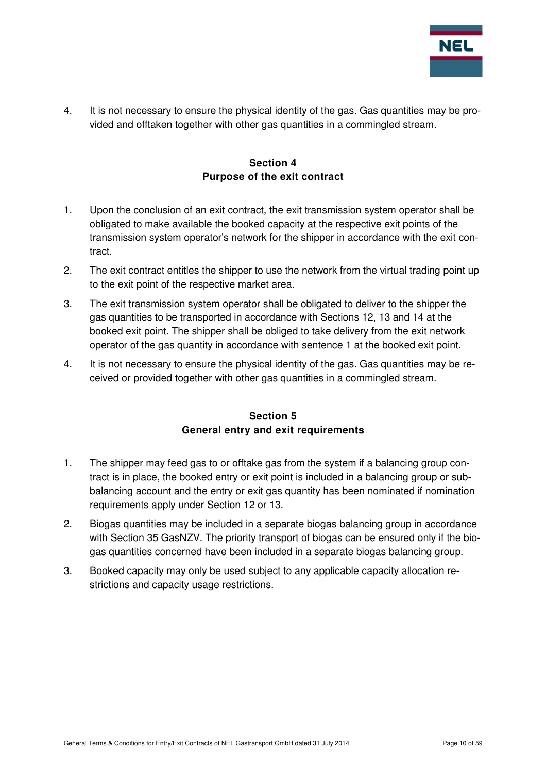

4. It is not necessary to ensure the physical identity of the gas. Gas quantities may be provided and offtaken together with other gas quantities in a commingled stream.

## **Section 4 Purpose of the exit contract**

- 1. Upon the conclusion of an exit contract, the exit transmission system operator shall be obligated to make available the booked capacity at the respective exit points of the transmission system operator's network for the shipper in accordance with the exit contract.
- 2. The exit contract entitles the shipper to use the network from the virtual trading point up to the exit point of the respective market area.
- 3. The exit transmission system operator shall be obligated to deliver to the shipper the gas quantities to be transported in accordance with Sections 12, 13 and 14 at the booked exit point. The shipper shall be obliged to take delivery from the exit network operator of the gas quantity in accordance with sentence 1 at the booked exit point.
- 4. It is not necessary to ensure the physical identity of the gas. Gas quantities may be received or provided together with other gas quantities in a commingled stream.

## **Section 5 General entry and exit requirements**

- 1. The shipper may feed gas to or offtake gas from the system if a balancing group contract is in place, the booked entry or exit point is included in a balancing group or subbalancing account and the entry or exit gas quantity has been nominated if nomination requirements apply under Section 12 or 13.
- 2. Biogas quantities may be included in a separate biogas balancing group in accordance with Section 35 GasNZV. The priority transport of biogas can be ensured only if the biogas quantities concerned have been included in a separate biogas balancing group.
- 3. Booked capacity may only be used subject to any applicable capacity allocation restrictions and capacity usage restrictions.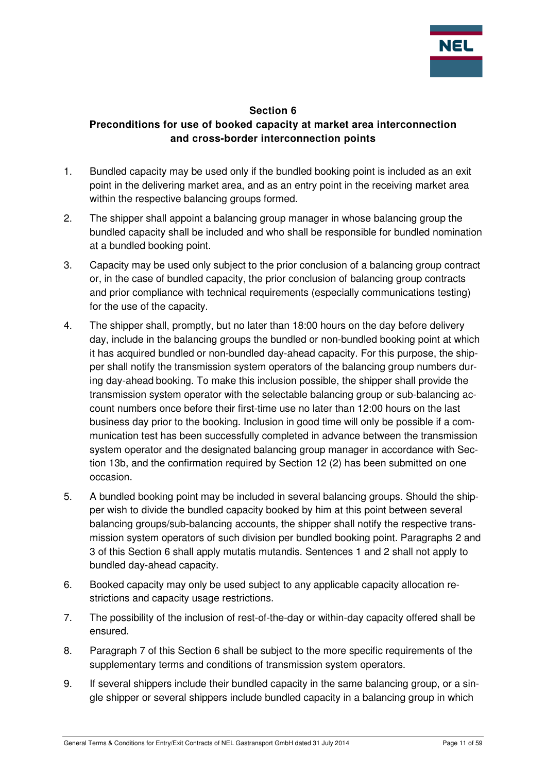

#### **Section 6**

# **Preconditions for use of booked capacity at market area interconnection and cross-border interconnection points**

- 1. Bundled capacity may be used only if the bundled booking point is included as an exit point in the delivering market area, and as an entry point in the receiving market area within the respective balancing groups formed.
- 2. The shipper shall appoint a balancing group manager in whose balancing group the bundled capacity shall be included and who shall be responsible for bundled nomination at a bundled booking point.
- 3. Capacity may be used only subject to the prior conclusion of a balancing group contract or, in the case of bundled capacity, the prior conclusion of balancing group contracts and prior compliance with technical requirements (especially communications testing) for the use of the capacity.
- 4. The shipper shall, promptly, but no later than 18:00 hours on the day before delivery day, include in the balancing groups the bundled or non-bundled booking point at which it has acquired bundled or non-bundled day-ahead capacity. For this purpose, the shipper shall notify the transmission system operators of the balancing group numbers during day-ahead booking. To make this inclusion possible, the shipper shall provide the transmission system operator with the selectable balancing group or sub-balancing account numbers once before their first-time use no later than 12:00 hours on the last business day prior to the booking. Inclusion in good time will only be possible if a communication test has been successfully completed in advance between the transmission system operator and the designated balancing group manager in accordance with Section 13b, and the confirmation required by Section 12 (2) has been submitted on one occasion.
- 5. A bundled booking point may be included in several balancing groups. Should the shipper wish to divide the bundled capacity booked by him at this point between several balancing groups/sub-balancing accounts, the shipper shall notify the respective transmission system operators of such division per bundled booking point. Paragraphs 2 and 3 of this Section 6 shall apply mutatis mutandis. Sentences 1 and 2 shall not apply to bundled day-ahead capacity.
- 6. Booked capacity may only be used subject to any applicable capacity allocation restrictions and capacity usage restrictions.
- 7. The possibility of the inclusion of rest-of-the-day or within-day capacity offered shall be ensured.
- 8. Paragraph 7 of this Section 6 shall be subject to the more specific requirements of the supplementary terms and conditions of transmission system operators.
- 9. If several shippers include their bundled capacity in the same balancing group, or a single shipper or several shippers include bundled capacity in a balancing group in which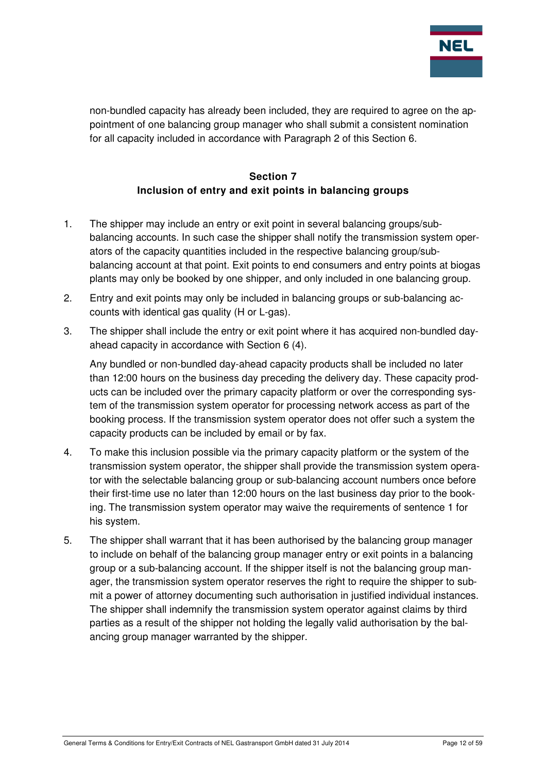

non-bundled capacity has already been included, they are required to agree on the appointment of one balancing group manager who shall submit a consistent nomination for all capacity included in accordance with Paragraph 2 of this Section 6.

# **Section 7 Inclusion of entry and exit points in balancing groups**

- 1. The shipper may include an entry or exit point in several balancing groups/subbalancing accounts. In such case the shipper shall notify the transmission system operators of the capacity quantities included in the respective balancing group/subbalancing account at that point. Exit points to end consumers and entry points at biogas plants may only be booked by one shipper, and only included in one balancing group.
- 2. Entry and exit points may only be included in balancing groups or sub-balancing accounts with identical gas quality (H or L-gas).
- 3. The shipper shall include the entry or exit point where it has acquired non-bundled dayahead capacity in accordance with Section 6 (4).

Any bundled or non-bundled day-ahead capacity products shall be included no later than 12:00 hours on the business day preceding the delivery day. These capacity products can be included over the primary capacity platform or over the corresponding system of the transmission system operator for processing network access as part of the booking process. If the transmission system operator does not offer such a system the capacity products can be included by email or by fax.

- 4. To make this inclusion possible via the primary capacity platform or the system of the transmission system operator, the shipper shall provide the transmission system operator with the selectable balancing group or sub-balancing account numbers once before their first-time use no later than 12:00 hours on the last business day prior to the booking. The transmission system operator may waive the requirements of sentence 1 for his system.
- 5. The shipper shall warrant that it has been authorised by the balancing group manager to include on behalf of the balancing group manager entry or exit points in a balancing group or a sub-balancing account. If the shipper itself is not the balancing group manager, the transmission system operator reserves the right to require the shipper to submit a power of attorney documenting such authorisation in justified individual instances. The shipper shall indemnify the transmission system operator against claims by third parties as a result of the shipper not holding the legally valid authorisation by the balancing group manager warranted by the shipper.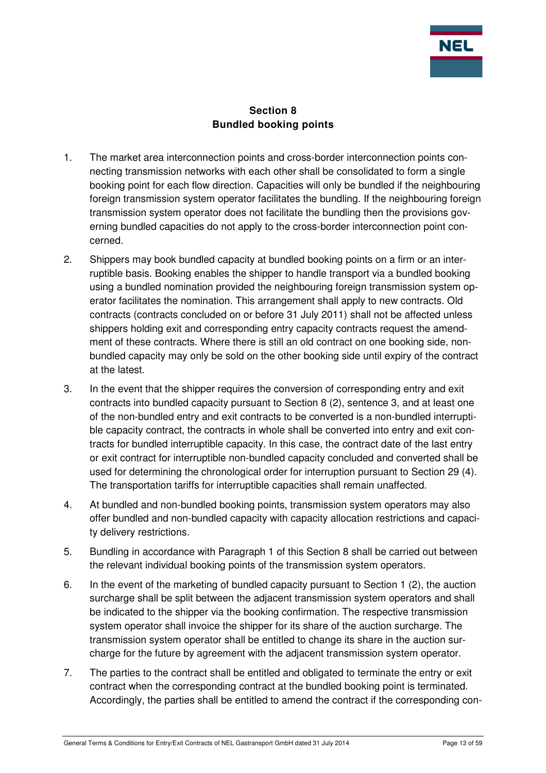

## **Section 8 Bundled booking points**

- 1. The market area interconnection points and cross-border interconnection points connecting transmission networks with each other shall be consolidated to form a single booking point for each flow direction. Capacities will only be bundled if the neighbouring foreign transmission system operator facilitates the bundling. If the neighbouring foreign transmission system operator does not facilitate the bundling then the provisions governing bundled capacities do not apply to the cross-border interconnection point concerned.
- 2. Shippers may book bundled capacity at bundled booking points on a firm or an interruptible basis. Booking enables the shipper to handle transport via a bundled booking using a bundled nomination provided the neighbouring foreign transmission system operator facilitates the nomination. This arrangement shall apply to new contracts. Old contracts (contracts concluded on or before 31 July 2011) shall not be affected unless shippers holding exit and corresponding entry capacity contracts request the amendment of these contracts. Where there is still an old contract on one booking side, nonbundled capacity may only be sold on the other booking side until expiry of the contract at the latest.
- 3. In the event that the shipper requires the conversion of corresponding entry and exit contracts into bundled capacity pursuant to Section 8 (2), sentence 3, and at least one of the non-bundled entry and exit contracts to be converted is a non-bundled interruptible capacity contract, the contracts in whole shall be converted into entry and exit contracts for bundled interruptible capacity. In this case, the contract date of the last entry or exit contract for interruptible non-bundled capacity concluded and converted shall be used for determining the chronological order for interruption pursuant to Section 29 (4). The transportation tariffs for interruptible capacities shall remain unaffected.
- 4. At bundled and non-bundled booking points, transmission system operators may also offer bundled and non-bundled capacity with capacity allocation restrictions and capacity delivery restrictions.
- 5. Bundling in accordance with Paragraph 1 of this Section 8 shall be carried out between the relevant individual booking points of the transmission system operators.
- 6. In the event of the marketing of bundled capacity pursuant to Section 1 (2), the auction surcharge shall be split between the adjacent transmission system operators and shall be indicated to the shipper via the booking confirmation. The respective transmission system operator shall invoice the shipper for its share of the auction surcharge. The transmission system operator shall be entitled to change its share in the auction surcharge for the future by agreement with the adjacent transmission system operator.
- 7. The parties to the contract shall be entitled and obligated to terminate the entry or exit contract when the corresponding contract at the bundled booking point is terminated. Accordingly, the parties shall be entitled to amend the contract if the corresponding con-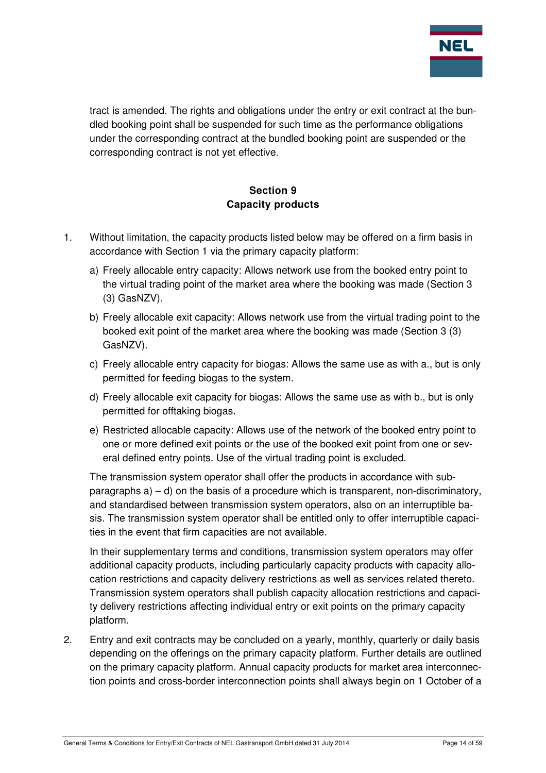

tract is amended. The rights and obligations under the entry or exit contract at the bundled booking point shall be suspended for such time as the performance obligations under the corresponding contract at the bundled booking point are suspended or the corresponding contract is not yet effective.

# **Section 9 Capacity products**

- 1. Without limitation, the capacity products listed below may be offered on a firm basis in accordance with Section 1 via the primary capacity platform:
	- a) Freely allocable entry capacity: Allows network use from the booked entry point to the virtual trading point of the market area where the booking was made (Section 3 (3) GasNZV).
	- b) Freely allocable exit capacity: Allows network use from the virtual trading point to the booked exit point of the market area where the booking was made (Section 3 (3) GasNZV).
	- c) Freely allocable entry capacity for biogas: Allows the same use as with a., but is only permitted for feeding biogas to the system.
	- d) Freely allocable exit capacity for biogas: Allows the same use as with b., but is only permitted for offtaking biogas.
	- e) Restricted allocable capacity: Allows use of the network of the booked entry point to one or more defined exit points or the use of the booked exit point from one or several defined entry points. Use of the virtual trading point is excluded.

The transmission system operator shall offer the products in accordance with subparagraphs  $a$ ) – d) on the basis of a procedure which is transparent, non-discriminatory, and standardised between transmission system operators, also on an interruptible basis. The transmission system operator shall be entitled only to offer interruptible capacities in the event that firm capacities are not available.

In their supplementary terms and conditions, transmission system operators may offer additional capacity products, including particularly capacity products with capacity allocation restrictions and capacity delivery restrictions as well as services related thereto. Transmission system operators shall publish capacity allocation restrictions and capacity delivery restrictions affecting individual entry or exit points on the primary capacity platform.

2. Entry and exit contracts may be concluded on a yearly, monthly, quarterly or daily basis depending on the offerings on the primary capacity platform. Further details are outlined on the primary capacity platform. Annual capacity products for market area interconnection points and cross-border interconnection points shall always begin on 1 October of a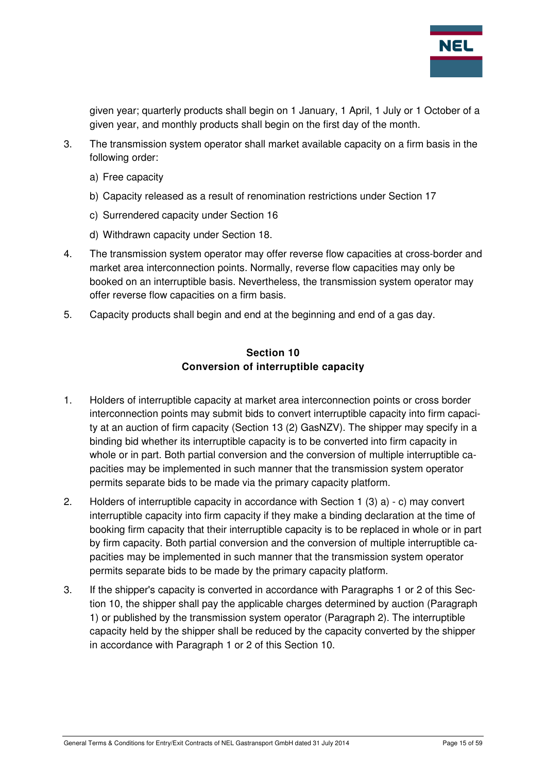

given year; quarterly products shall begin on 1 January, 1 April, 1 July or 1 October of a given year, and monthly products shall begin on the first day of the month.

- 3. The transmission system operator shall market available capacity on a firm basis in the following order:
	- a) Free capacity
	- b) Capacity released as a result of renomination restrictions under Section 17
	- c) Surrendered capacity under Section 16
	- d) Withdrawn capacity under Section 18.
- 4. The transmission system operator may offer reverse flow capacities at cross-border and market area interconnection points. Normally, reverse flow capacities may only be booked on an interruptible basis. Nevertheless, the transmission system operator may offer reverse flow capacities on a firm basis.
- 5. Capacity products shall begin and end at the beginning and end of a gas day.

#### **Section 10 Conversion of interruptible capacity**

- 1. Holders of interruptible capacity at market area interconnection points or cross border interconnection points may submit bids to convert interruptible capacity into firm capacity at an auction of firm capacity (Section 13 (2) GasNZV). The shipper may specify in a binding bid whether its interruptible capacity is to be converted into firm capacity in whole or in part. Both partial conversion and the conversion of multiple interruptible capacities may be implemented in such manner that the transmission system operator permits separate bids to be made via the primary capacity platform.
- 2. Holders of interruptible capacity in accordance with Section 1 (3) a) c) may convert interruptible capacity into firm capacity if they make a binding declaration at the time of booking firm capacity that their interruptible capacity is to be replaced in whole or in part by firm capacity. Both partial conversion and the conversion of multiple interruptible capacities may be implemented in such manner that the transmission system operator permits separate bids to be made by the primary capacity platform.
- 3. If the shipper's capacity is converted in accordance with Paragraphs 1 or 2 of this Section 10, the shipper shall pay the applicable charges determined by auction (Paragraph 1) or published by the transmission system operator (Paragraph 2). The interruptible capacity held by the shipper shall be reduced by the capacity converted by the shipper in accordance with Paragraph 1 or 2 of this Section 10.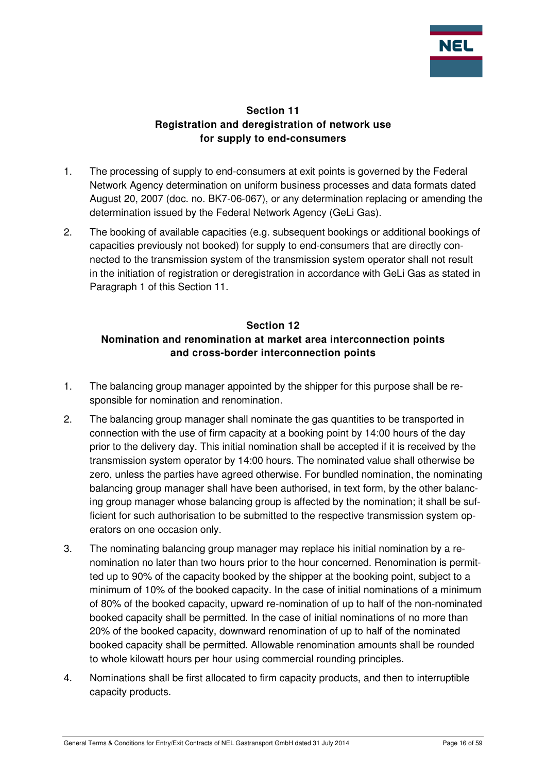

#### **Section 11 Registration and deregistration of network use for supply to end-consumers**

- 1. The processing of supply to end-consumers at exit points is governed by the Federal Network Agency determination on uniform business processes and data formats dated August 20, 2007 (doc. no. BK7-06-067), or any determination replacing or amending the determination issued by the Federal Network Agency (GeLi Gas).
- 2. The booking of available capacities (e.g. subsequent bookings or additional bookings of capacities previously not booked) for supply to end-consumers that are directly connected to the transmission system of the transmission system operator shall not result in the initiation of registration or deregistration in accordance with GeLi Gas as stated in Paragraph 1 of this Section 11.

### **Section 12 Nomination and renomination at market area interconnection points and cross-border interconnection points**

- 1. The balancing group manager appointed by the shipper for this purpose shall be responsible for nomination and renomination.
- 2. The balancing group manager shall nominate the gas quantities to be transported in connection with the use of firm capacity at a booking point by 14:00 hours of the day prior to the delivery day. This initial nomination shall be accepted if it is received by the transmission system operator by 14:00 hours. The nominated value shall otherwise be zero, unless the parties have agreed otherwise. For bundled nomination, the nominating balancing group manager shall have been authorised, in text form, by the other balancing group manager whose balancing group is affected by the nomination; it shall be sufficient for such authorisation to be submitted to the respective transmission system operators on one occasion only.
- 3. The nominating balancing group manager may replace his initial nomination by a renomination no later than two hours prior to the hour concerned. Renomination is permitted up to 90% of the capacity booked by the shipper at the booking point, subject to a minimum of 10% of the booked capacity. In the case of initial nominations of a minimum of 80% of the booked capacity, upward re-nomination of up to half of the non-nominated booked capacity shall be permitted. In the case of initial nominations of no more than 20% of the booked capacity, downward renomination of up to half of the nominated booked capacity shall be permitted. Allowable renomination amounts shall be rounded to whole kilowatt hours per hour using commercial rounding principles.
- 4. Nominations shall be first allocated to firm capacity products, and then to interruptible capacity products.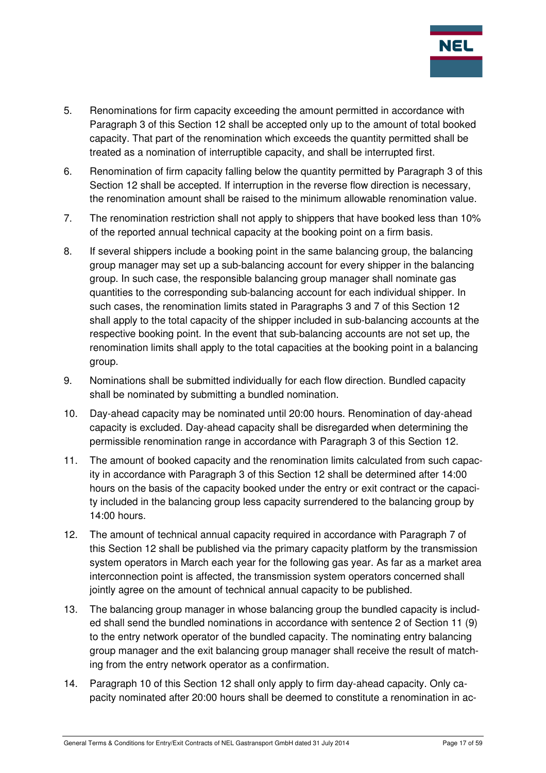

- 5. Renominations for firm capacity exceeding the amount permitted in accordance with Paragraph 3 of this Section 12 shall be accepted only up to the amount of total booked capacity. That part of the renomination which exceeds the quantity permitted shall be treated as a nomination of interruptible capacity, and shall be interrupted first.
- 6. Renomination of firm capacity falling below the quantity permitted by Paragraph 3 of this Section 12 shall be accepted. If interruption in the reverse flow direction is necessary, the renomination amount shall be raised to the minimum allowable renomination value.
- 7. The renomination restriction shall not apply to shippers that have booked less than 10% of the reported annual technical capacity at the booking point on a firm basis.
- 8. If several shippers include a booking point in the same balancing group, the balancing group manager may set up a sub-balancing account for every shipper in the balancing group. In such case, the responsible balancing group manager shall nominate gas quantities to the corresponding sub-balancing account for each individual shipper. In such cases, the renomination limits stated in Paragraphs 3 and 7 of this Section 12 shall apply to the total capacity of the shipper included in sub-balancing accounts at the respective booking point. In the event that sub-balancing accounts are not set up, the renomination limits shall apply to the total capacities at the booking point in a balancing group.
- 9. Nominations shall be submitted individually for each flow direction. Bundled capacity shall be nominated by submitting a bundled nomination.
- 10. Day-ahead capacity may be nominated until 20:00 hours. Renomination of day-ahead capacity is excluded. Day-ahead capacity shall be disregarded when determining the permissible renomination range in accordance with Paragraph 3 of this Section 12.
- 11. The amount of booked capacity and the renomination limits calculated from such capacity in accordance with Paragraph 3 of this Section 12 shall be determined after 14:00 hours on the basis of the capacity booked under the entry or exit contract or the capacity included in the balancing group less capacity surrendered to the balancing group by 14:00 hours.
- 12. The amount of technical annual capacity required in accordance with Paragraph 7 of this Section 12 shall be published via the primary capacity platform by the transmission system operators in March each year for the following gas year. As far as a market area interconnection point is affected, the transmission system operators concerned shall jointly agree on the amount of technical annual capacity to be published.
- 13. The balancing group manager in whose balancing group the bundled capacity is included shall send the bundled nominations in accordance with sentence 2 of Section 11 (9) to the entry network operator of the bundled capacity. The nominating entry balancing group manager and the exit balancing group manager shall receive the result of matching from the entry network operator as a confirmation.
- 14. Paragraph 10 of this Section 12 shall only apply to firm day-ahead capacity. Only capacity nominated after 20:00 hours shall be deemed to constitute a renomination in ac-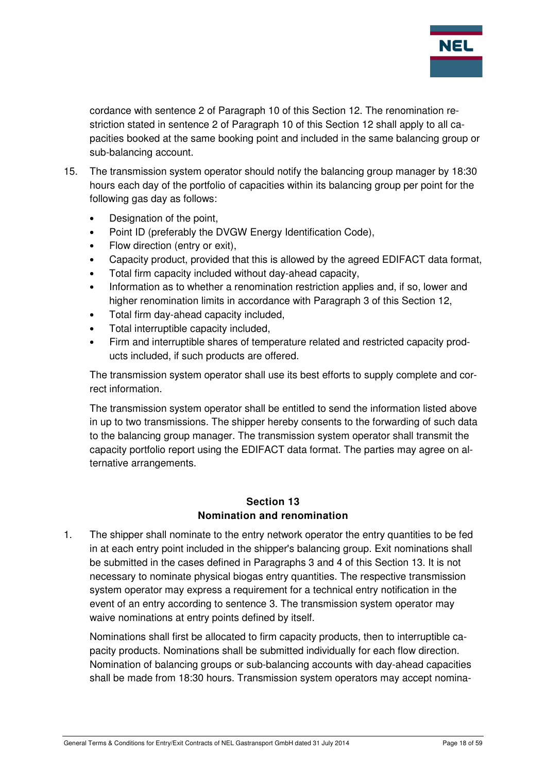

cordance with sentence 2 of Paragraph 10 of this Section 12. The renomination restriction stated in sentence 2 of Paragraph 10 of this Section 12 shall apply to all capacities booked at the same booking point and included in the same balancing group or sub-balancing account.

- 15. The transmission system operator should notify the balancing group manager by 18:30 hours each day of the portfolio of capacities within its balancing group per point for the following gas day as follows:
	- Designation of the point,
	- Point ID (preferably the DVGW Energy Identification Code),
	- Flow direction (entry or exit),
	- Capacity product, provided that this is allowed by the agreed EDIFACT data format,
	- Total firm capacity included without day-ahead capacity,
	- Information as to whether a renomination restriction applies and, if so, lower and higher renomination limits in accordance with Paragraph 3 of this Section 12,
	- Total firm day-ahead capacity included,
	- Total interruptible capacity included,
	- Firm and interruptible shares of temperature related and restricted capacity products included, if such products are offered.

The transmission system operator shall use its best efforts to supply complete and correct information.

The transmission system operator shall be entitled to send the information listed above in up to two transmissions. The shipper hereby consents to the forwarding of such data to the balancing group manager. The transmission system operator shall transmit the capacity portfolio report using the EDIFACT data format. The parties may agree on alternative arrangements.

#### **Section 13 Nomination and renomination**

1. The shipper shall nominate to the entry network operator the entry quantities to be fed in at each entry point included in the shipper's balancing group. Exit nominations shall be submitted in the cases defined in Paragraphs 3 and 4 of this Section 13. It is not necessary to nominate physical biogas entry quantities. The respective transmission system operator may express a requirement for a technical entry notification in the event of an entry according to sentence 3. The transmission system operator may waive nominations at entry points defined by itself.

Nominations shall first be allocated to firm capacity products, then to interruptible capacity products. Nominations shall be submitted individually for each flow direction. Nomination of balancing groups or sub-balancing accounts with day-ahead capacities shall be made from 18:30 hours. Transmission system operators may accept nomina-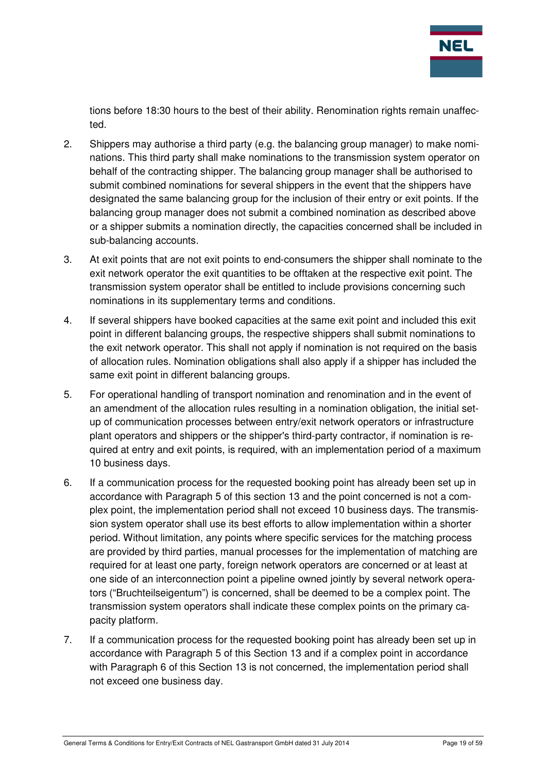

tions before 18:30 hours to the best of their ability. Renomination rights remain unaffected.

- 2. Shippers may authorise a third party (e.g. the balancing group manager) to make nominations. This third party shall make nominations to the transmission system operator on behalf of the contracting shipper. The balancing group manager shall be authorised to submit combined nominations for several shippers in the event that the shippers have designated the same balancing group for the inclusion of their entry or exit points. If the balancing group manager does not submit a combined nomination as described above or a shipper submits a nomination directly, the capacities concerned shall be included in sub-balancing accounts.
- 3. At exit points that are not exit points to end-consumers the shipper shall nominate to the exit network operator the exit quantities to be offtaken at the respective exit point. The transmission system operator shall be entitled to include provisions concerning such nominations in its supplementary terms and conditions.
- 4. If several shippers have booked capacities at the same exit point and included this exit point in different balancing groups, the respective shippers shall submit nominations to the exit network operator. This shall not apply if nomination is not required on the basis of allocation rules. Nomination obligations shall also apply if a shipper has included the same exit point in different balancing groups.
- 5. For operational handling of transport nomination and renomination and in the event of an amendment of the allocation rules resulting in a nomination obligation, the initial setup of communication processes between entry/exit network operators or infrastructure plant operators and shippers or the shipper's third-party contractor, if nomination is required at entry and exit points, is required, with an implementation period of a maximum 10 business days.
- 6. If a communication process for the requested booking point has already been set up in accordance with Paragraph 5 of this section 13 and the point concerned is not a complex point, the implementation period shall not exceed 10 business days. The transmission system operator shall use its best efforts to allow implementation within a shorter period. Without limitation, any points where specific services for the matching process are provided by third parties, manual processes for the implementation of matching are required for at least one party, foreign network operators are concerned or at least at one side of an interconnection point a pipeline owned jointly by several network operators ("Bruchteilseigentum") is concerned, shall be deemed to be a complex point. The transmission system operators shall indicate these complex points on the primary capacity platform.
- 7. If a communication process for the requested booking point has already been set up in accordance with Paragraph 5 of this Section 13 and if a complex point in accordance with Paragraph 6 of this Section 13 is not concerned, the implementation period shall not exceed one business day.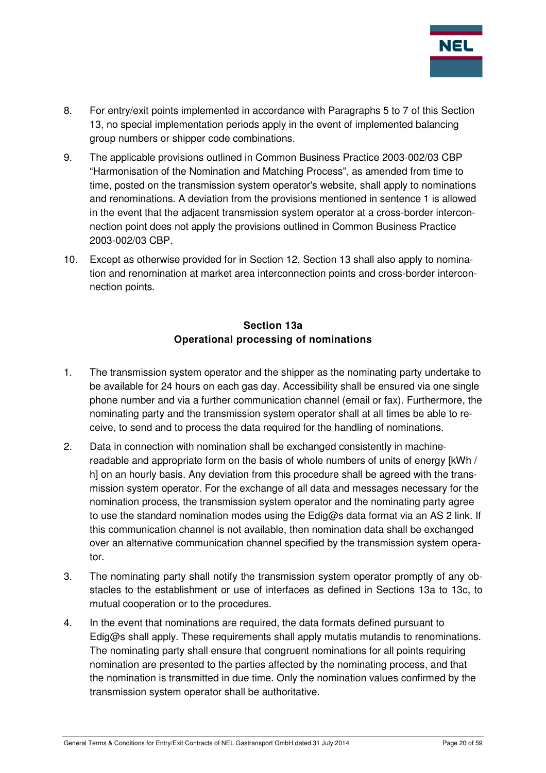

- 8. For entry/exit points implemented in accordance with Paragraphs 5 to 7 of this Section 13, no special implementation periods apply in the event of implemented balancing group numbers or shipper code combinations.
- 9. The applicable provisions outlined in Common Business Practice 2003-002/03 CBP "Harmonisation of the Nomination and Matching Process", as amended from time to time, posted on the transmission system operator's website, shall apply to nominations and renominations. A deviation from the provisions mentioned in sentence 1 is allowed in the event that the adjacent transmission system operator at a cross-border interconnection point does not apply the provisions outlined in Common Business Practice 2003-002/03 CBP.
- 10. Except as otherwise provided for in Section 12, Section 13 shall also apply to nomination and renomination at market area interconnection points and cross-border interconnection points.

# **Section 13a Operational processing of nominations**

- 1. The transmission system operator and the shipper as the nominating party undertake to be available for 24 hours on each gas day. Accessibility shall be ensured via one single phone number and via a further communication channel (email or fax). Furthermore, the nominating party and the transmission system operator shall at all times be able to receive, to send and to process the data required for the handling of nominations.
- 2. Data in connection with nomination shall be exchanged consistently in machinereadable and appropriate form on the basis of whole numbers of units of energy [kWh / h] on an hourly basis. Any deviation from this procedure shall be agreed with the transmission system operator. For the exchange of all data and messages necessary for the nomination process, the transmission system operator and the nominating party agree to use the standard nomination modes using the Edig@s data format via an AS 2 link. If this communication channel is not available, then nomination data shall be exchanged over an alternative communication channel specified by the transmission system operator.
- 3. The nominating party shall notify the transmission system operator promptly of any obstacles to the establishment or use of interfaces as defined in Sections 13a to 13c, to mutual cooperation or to the procedures.
- 4. In the event that nominations are required, the data formats defined pursuant to Edig@s shall apply. These requirements shall apply mutatis mutandis to renominations. The nominating party shall ensure that congruent nominations for all points requiring nomination are presented to the parties affected by the nominating process, and that the nomination is transmitted in due time. Only the nomination values confirmed by the transmission system operator shall be authoritative.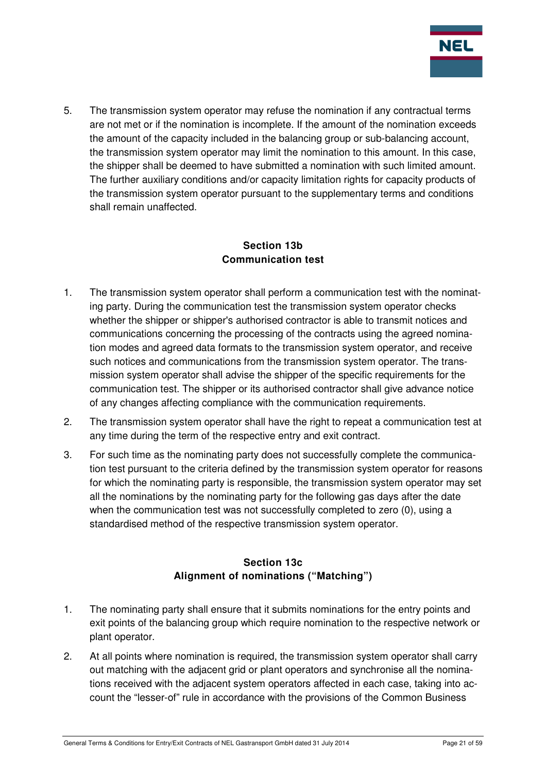

5. The transmission system operator may refuse the nomination if any contractual terms are not met or if the nomination is incomplete. If the amount of the nomination exceeds the amount of the capacity included in the balancing group or sub-balancing account, the transmission system operator may limit the nomination to this amount. In this case, the shipper shall be deemed to have submitted a nomination with such limited amount. The further auxiliary conditions and/or capacity limitation rights for capacity products of the transmission system operator pursuant to the supplementary terms and conditions shall remain unaffected.

# **Section 13b Communication test**

- 1. The transmission system operator shall perform a communication test with the nominating party. During the communication test the transmission system operator checks whether the shipper or shipper's authorised contractor is able to transmit notices and communications concerning the processing of the contracts using the agreed nomination modes and agreed data formats to the transmission system operator, and receive such notices and communications from the transmission system operator. The transmission system operator shall advise the shipper of the specific requirements for the communication test. The shipper or its authorised contractor shall give advance notice of any changes affecting compliance with the communication requirements.
- 2. The transmission system operator shall have the right to repeat a communication test at any time during the term of the respective entry and exit contract.
- 3. For such time as the nominating party does not successfully complete the communication test pursuant to the criteria defined by the transmission system operator for reasons for which the nominating party is responsible, the transmission system operator may set all the nominations by the nominating party for the following gas days after the date when the communication test was not successfully completed to zero (0), using a standardised method of the respective transmission system operator.

# **Section 13c Alignment of nominations ("Matching")**

- 1. The nominating party shall ensure that it submits nominations for the entry points and exit points of the balancing group which require nomination to the respective network or plant operator.
- 2. At all points where nomination is required, the transmission system operator shall carry out matching with the adjacent grid or plant operators and synchronise all the nominations received with the adjacent system operators affected in each case, taking into account the "lesser-of" rule in accordance with the provisions of the Common Business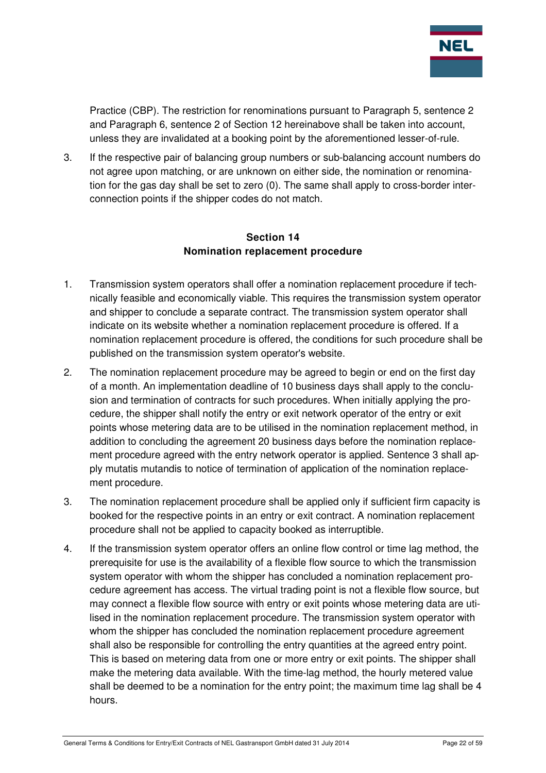

Practice (CBP). The restriction for renominations pursuant to Paragraph 5, sentence 2 and Paragraph 6, sentence 2 of Section 12 hereinabove shall be taken into account, unless they are invalidated at a booking point by the aforementioned lesser-of-rule.

3. If the respective pair of balancing group numbers or sub-balancing account numbers do not agree upon matching, or are unknown on either side, the nomination or renomination for the gas day shall be set to zero (0). The same shall apply to cross-border interconnection points if the shipper codes do not match.

#### **Section 14 Nomination replacement procedure**

- 1. Transmission system operators shall offer a nomination replacement procedure if technically feasible and economically viable. This requires the transmission system operator and shipper to conclude a separate contract. The transmission system operator shall indicate on its website whether a nomination replacement procedure is offered. If a nomination replacement procedure is offered, the conditions for such procedure shall be published on the transmission system operator's website.
- 2. The nomination replacement procedure may be agreed to begin or end on the first day of a month. An implementation deadline of 10 business days shall apply to the conclusion and termination of contracts for such procedures. When initially applying the procedure, the shipper shall notify the entry or exit network operator of the entry or exit points whose metering data are to be utilised in the nomination replacement method, in addition to concluding the agreement 20 business days before the nomination replacement procedure agreed with the entry network operator is applied. Sentence 3 shall apply mutatis mutandis to notice of termination of application of the nomination replacement procedure.
- 3. The nomination replacement procedure shall be applied only if sufficient firm capacity is booked for the respective points in an entry or exit contract. A nomination replacement procedure shall not be applied to capacity booked as interruptible.
- 4. If the transmission system operator offers an online flow control or time lag method, the prerequisite for use is the availability of a flexible flow source to which the transmission system operator with whom the shipper has concluded a nomination replacement procedure agreement has access. The virtual trading point is not a flexible flow source, but may connect a flexible flow source with entry or exit points whose metering data are utilised in the nomination replacement procedure. The transmission system operator with whom the shipper has concluded the nomination replacement procedure agreement shall also be responsible for controlling the entry quantities at the agreed entry point. This is based on metering data from one or more entry or exit points. The shipper shall make the metering data available. With the time-lag method, the hourly metered value shall be deemed to be a nomination for the entry point; the maximum time lag shall be 4 hours.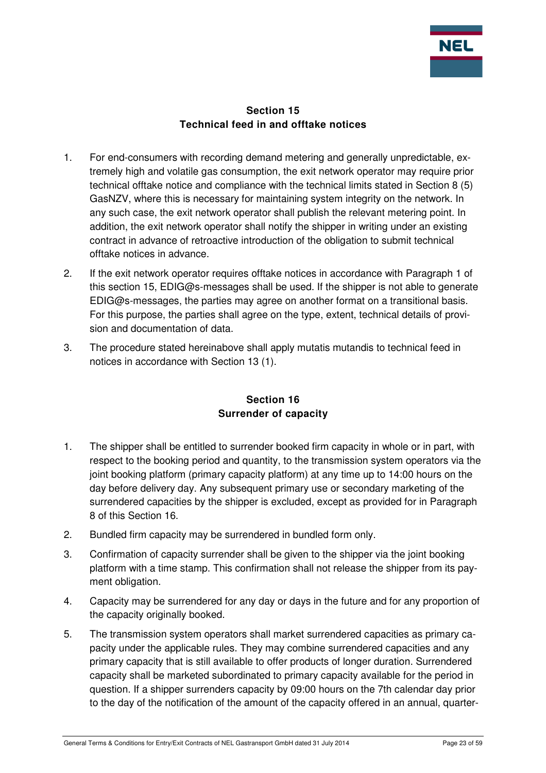

#### **Section 15 Technical feed in and offtake notices**

- 1. For end-consumers with recording demand metering and generally unpredictable, extremely high and volatile gas consumption, the exit network operator may require prior technical offtake notice and compliance with the technical limits stated in Section 8 (5) GasNZV, where this is necessary for maintaining system integrity on the network. In any such case, the exit network operator shall publish the relevant metering point. In addition, the exit network operator shall notify the shipper in writing under an existing contract in advance of retroactive introduction of the obligation to submit technical offtake notices in advance.
- 2. If the exit network operator requires offtake notices in accordance with Paragraph 1 of this section 15, EDIG@s-messages shall be used. If the shipper is not able to generate EDIG@s-messages, the parties may agree on another format on a transitional basis. For this purpose, the parties shall agree on the type, extent, technical details of provision and documentation of data.
- 3. The procedure stated hereinabove shall apply mutatis mutandis to technical feed in notices in accordance with Section 13 (1).

# **Section 16 Surrender of capacity**

- 1. The shipper shall be entitled to surrender booked firm capacity in whole or in part, with respect to the booking period and quantity, to the transmission system operators via the joint booking platform (primary capacity platform) at any time up to 14:00 hours on the day before delivery day. Any subsequent primary use or secondary marketing of the surrendered capacities by the shipper is excluded, except as provided for in Paragraph 8 of this Section 16.
- 2. Bundled firm capacity may be surrendered in bundled form only.
- 3. Confirmation of capacity surrender shall be given to the shipper via the joint booking platform with a time stamp. This confirmation shall not release the shipper from its payment obligation.
- 4. Capacity may be surrendered for any day or days in the future and for any proportion of the capacity originally booked.
- 5. The transmission system operators shall market surrendered capacities as primary capacity under the applicable rules. They may combine surrendered capacities and any primary capacity that is still available to offer products of longer duration. Surrendered capacity shall be marketed subordinated to primary capacity available for the period in question. If a shipper surrenders capacity by 09:00 hours on the 7th calendar day prior to the day of the notification of the amount of the capacity offered in an annual, quarter-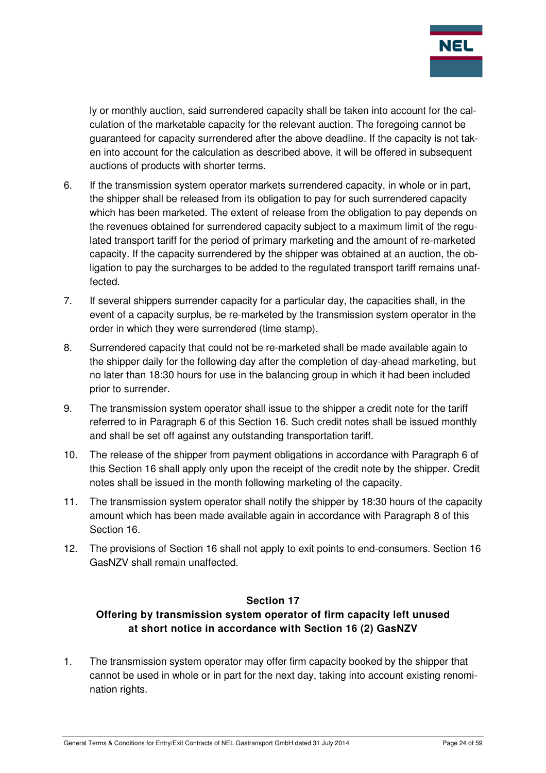

ly or monthly auction, said surrendered capacity shall be taken into account for the calculation of the marketable capacity for the relevant auction. The foregoing cannot be guaranteed for capacity surrendered after the above deadline. If the capacity is not taken into account for the calculation as described above, it will be offered in subsequent auctions of products with shorter terms.

- 6. If the transmission system operator markets surrendered capacity, in whole or in part, the shipper shall be released from its obligation to pay for such surrendered capacity which has been marketed. The extent of release from the obligation to pay depends on the revenues obtained for surrendered capacity subject to a maximum limit of the regulated transport tariff for the period of primary marketing and the amount of re-marketed capacity. If the capacity surrendered by the shipper was obtained at an auction, the obligation to pay the surcharges to be added to the regulated transport tariff remains unaffected.
- 7. If several shippers surrender capacity for a particular day, the capacities shall, in the event of a capacity surplus, be re-marketed by the transmission system operator in the order in which they were surrendered (time stamp).
- 8. Surrendered capacity that could not be re-marketed shall be made available again to the shipper daily for the following day after the completion of day-ahead marketing, but no later than 18:30 hours for use in the balancing group in which it had been included prior to surrender.
- 9. The transmission system operator shall issue to the shipper a credit note for the tariff referred to in Paragraph 6 of this Section 16. Such credit notes shall be issued monthly and shall be set off against any outstanding transportation tariff.
- 10. The release of the shipper from payment obligations in accordance with Paragraph 6 of this Section 16 shall apply only upon the receipt of the credit note by the shipper. Credit notes shall be issued in the month following marketing of the capacity.
- 11. The transmission system operator shall notify the shipper by 18:30 hours of the capacity amount which has been made available again in accordance with Paragraph 8 of this Section 16.
- 12. The provisions of Section 16 shall not apply to exit points to end-consumers. Section 16 GasNZV shall remain unaffected.

# **Section 17**

# **Offering by transmission system operator of firm capacity left unused at short notice in accordance with Section 16 (2) GasNZV**

1. The transmission system operator may offer firm capacity booked by the shipper that cannot be used in whole or in part for the next day, taking into account existing renomination rights.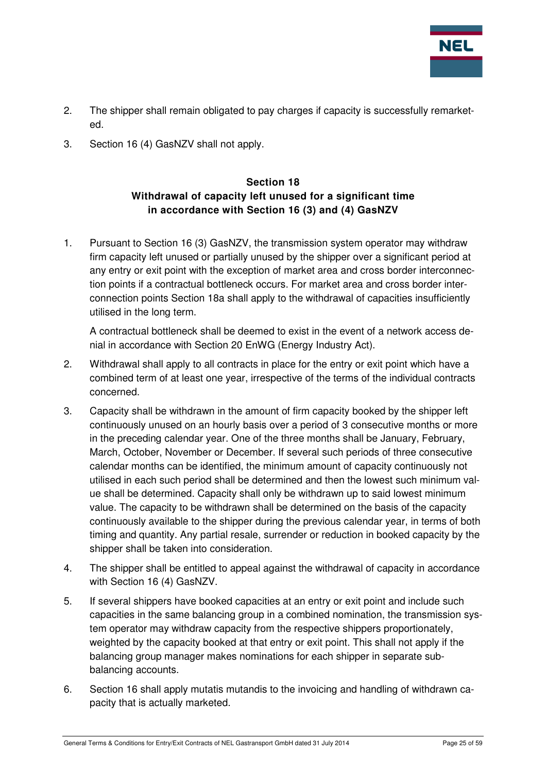

- 2. The shipper shall remain obligated to pay charges if capacity is successfully remarketed.
- 3. Section 16 (4) GasNZV shall not apply.

# **Section 18 Withdrawal of capacity left unused for a significant time in accordance with Section 16 (3) and (4) GasNZV**

1. Pursuant to Section 16 (3) GasNZV, the transmission system operator may withdraw firm capacity left unused or partially unused by the shipper over a significant period at any entry or exit point with the exception of market area and cross border interconnection points if a contractual bottleneck occurs. For market area and cross border interconnection points Section 18a shall apply to the withdrawal of capacities insufficiently utilised in the long term.

A contractual bottleneck shall be deemed to exist in the event of a network access denial in accordance with Section 20 EnWG (Energy Industry Act).

- 2. Withdrawal shall apply to all contracts in place for the entry or exit point which have a combined term of at least one year, irrespective of the terms of the individual contracts concerned.
- 3. Capacity shall be withdrawn in the amount of firm capacity booked by the shipper left continuously unused on an hourly basis over a period of 3 consecutive months or more in the preceding calendar year. One of the three months shall be January, February, March, October, November or December. If several such periods of three consecutive calendar months can be identified, the minimum amount of capacity continuously not utilised in each such period shall be determined and then the lowest such minimum value shall be determined. Capacity shall only be withdrawn up to said lowest minimum value. The capacity to be withdrawn shall be determined on the basis of the capacity continuously available to the shipper during the previous calendar year, in terms of both timing and quantity. Any partial resale, surrender or reduction in booked capacity by the shipper shall be taken into consideration.
- 4. The shipper shall be entitled to appeal against the withdrawal of capacity in accordance with Section 16 (4) GasNZV.
- 5. If several shippers have booked capacities at an entry or exit point and include such capacities in the same balancing group in a combined nomination, the transmission system operator may withdraw capacity from the respective shippers proportionately, weighted by the capacity booked at that entry or exit point. This shall not apply if the balancing group manager makes nominations for each shipper in separate subbalancing accounts.
- 6. Section 16 shall apply mutatis mutandis to the invoicing and handling of withdrawn capacity that is actually marketed.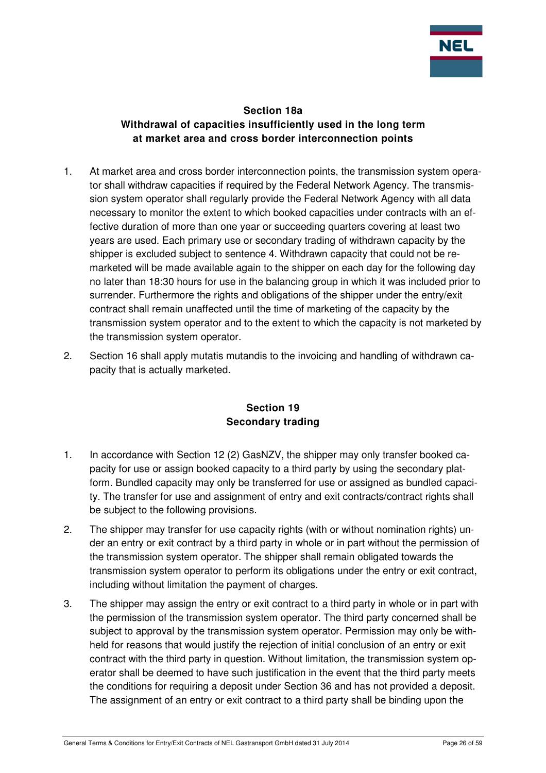

#### **Section 18a Withdrawal of capacities insufficiently used in the long term at market area and cross border interconnection points**

- 1. At market area and cross border interconnection points, the transmission system operator shall withdraw capacities if required by the Federal Network Agency. The transmission system operator shall regularly provide the Federal Network Agency with all data necessary to monitor the extent to which booked capacities under contracts with an effective duration of more than one year or succeeding quarters covering at least two years are used. Each primary use or secondary trading of withdrawn capacity by the shipper is excluded subject to sentence 4. Withdrawn capacity that could not be remarketed will be made available again to the shipper on each day for the following day no later than 18:30 hours for use in the balancing group in which it was included prior to surrender. Furthermore the rights and obligations of the shipper under the entry/exit contract shall remain unaffected until the time of marketing of the capacity by the transmission system operator and to the extent to which the capacity is not marketed by the transmission system operator.
- 2. Section 16 shall apply mutatis mutandis to the invoicing and handling of withdrawn capacity that is actually marketed.

## **Section 19 Secondary trading**

- 1. In accordance with Section 12 (2) GasNZV, the shipper may only transfer booked capacity for use or assign booked capacity to a third party by using the secondary platform. Bundled capacity may only be transferred for use or assigned as bundled capacity. The transfer for use and assignment of entry and exit contracts/contract rights shall be subject to the following provisions.
- 2. The shipper may transfer for use capacity rights (with or without nomination rights) under an entry or exit contract by a third party in whole or in part without the permission of the transmission system operator. The shipper shall remain obligated towards the transmission system operator to perform its obligations under the entry or exit contract, including without limitation the payment of charges.
- 3. The shipper may assign the entry or exit contract to a third party in whole or in part with the permission of the transmission system operator. The third party concerned shall be subject to approval by the transmission system operator. Permission may only be withheld for reasons that would justify the rejection of initial conclusion of an entry or exit contract with the third party in question. Without limitation, the transmission system operator shall be deemed to have such justification in the event that the third party meets the conditions for requiring a deposit under Section 36 and has not provided a deposit. The assignment of an entry or exit contract to a third party shall be binding upon the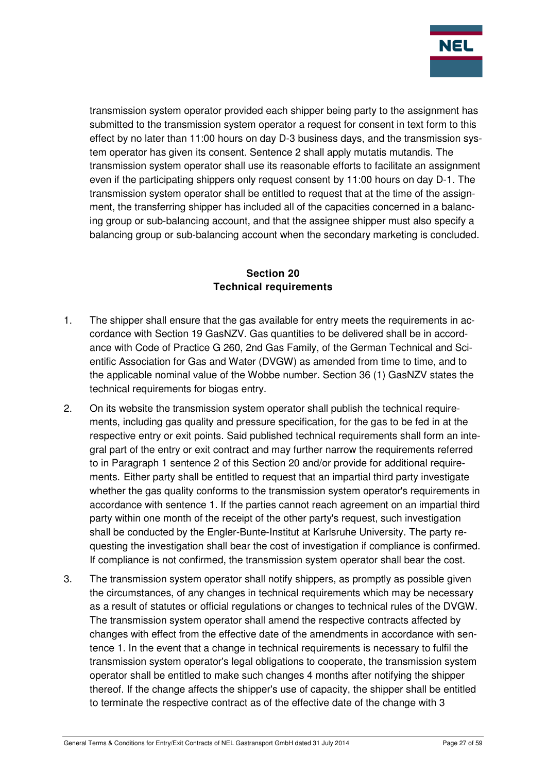

transmission system operator provided each shipper being party to the assignment has submitted to the transmission system operator a request for consent in text form to this effect by no later than 11:00 hours on day D-3 business days, and the transmission system operator has given its consent. Sentence 2 shall apply mutatis mutandis. The transmission system operator shall use its reasonable efforts to facilitate an assignment even if the participating shippers only request consent by 11:00 hours on day D-1. The transmission system operator shall be entitled to request that at the time of the assignment, the transferring shipper has included all of the capacities concerned in a balancing group or sub-balancing account, and that the assignee shipper must also specify a balancing group or sub-balancing account when the secondary marketing is concluded.

## **Section 20 Technical requirements**

- 1. The shipper shall ensure that the gas available for entry meets the requirements in accordance with Section 19 GasNZV. Gas quantities to be delivered shall be in accordance with Code of Practice G 260, 2nd Gas Family, of the German Technical and Scientific Association for Gas and Water (DVGW) as amended from time to time, and to the applicable nominal value of the Wobbe number. Section 36 (1) GasNZV states the technical requirements for biogas entry.
- 2. On its website the transmission system operator shall publish the technical requirements, including gas quality and pressure specification, for the gas to be fed in at the respective entry or exit points. Said published technical requirements shall form an integral part of the entry or exit contract and may further narrow the requirements referred to in Paragraph 1 sentence 2 of this Section 20 and/or provide for additional requirements. Either party shall be entitled to request that an impartial third party investigate whether the gas quality conforms to the transmission system operator's requirements in accordance with sentence 1. If the parties cannot reach agreement on an impartial third party within one month of the receipt of the other party's request, such investigation shall be conducted by the Engler-Bunte-Institut at Karlsruhe University. The party requesting the investigation shall bear the cost of investigation if compliance is confirmed. If compliance is not confirmed, the transmission system operator shall bear the cost.
- 3. The transmission system operator shall notify shippers, as promptly as possible given the circumstances, of any changes in technical requirements which may be necessary as a result of statutes or official regulations or changes to technical rules of the DVGW. The transmission system operator shall amend the respective contracts affected by changes with effect from the effective date of the amendments in accordance with sentence 1. In the event that a change in technical requirements is necessary to fulfil the transmission system operator's legal obligations to cooperate, the transmission system operator shall be entitled to make such changes 4 months after notifying the shipper thereof. If the change affects the shipper's use of capacity, the shipper shall be entitled to terminate the respective contract as of the effective date of the change with 3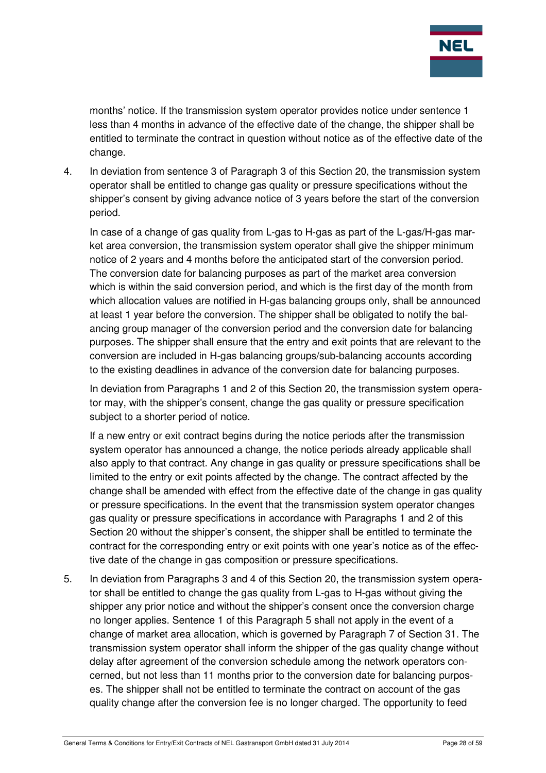

months' notice. If the transmission system operator provides notice under sentence 1 less than 4 months in advance of the effective date of the change, the shipper shall be entitled to terminate the contract in question without notice as of the effective date of the change.

4. In deviation from sentence 3 of Paragraph 3 of this Section 20, the transmission system operator shall be entitled to change gas quality or pressure specifications without the shipper's consent by giving advance notice of 3 years before the start of the conversion period.

In case of a change of gas quality from L-gas to H-gas as part of the L-gas/H-gas market area conversion, the transmission system operator shall give the shipper minimum notice of 2 years and 4 months before the anticipated start of the conversion period. The conversion date for balancing purposes as part of the market area conversion which is within the said conversion period, and which is the first day of the month from which allocation values are notified in H-gas balancing groups only, shall be announced at least 1 year before the conversion. The shipper shall be obligated to notify the balancing group manager of the conversion period and the conversion date for balancing purposes. The shipper shall ensure that the entry and exit points that are relevant to the conversion are included in H-gas balancing groups/sub-balancing accounts according to the existing deadlines in advance of the conversion date for balancing purposes.

In deviation from Paragraphs 1 and 2 of this Section 20, the transmission system operator may, with the shipper's consent, change the gas quality or pressure specification subject to a shorter period of notice.

If a new entry or exit contract begins during the notice periods after the transmission system operator has announced a change, the notice periods already applicable shall also apply to that contract. Any change in gas quality or pressure specifications shall be limited to the entry or exit points affected by the change. The contract affected by the change shall be amended with effect from the effective date of the change in gas quality or pressure specifications. In the event that the transmission system operator changes gas quality or pressure specifications in accordance with Paragraphs 1 and 2 of this Section 20 without the shipper's consent, the shipper shall be entitled to terminate the contract for the corresponding entry or exit points with one year's notice as of the effective date of the change in gas composition or pressure specifications.

5. In deviation from Paragraphs 3 and 4 of this Section 20, the transmission system operator shall be entitled to change the gas quality from L-gas to H-gas without giving the shipper any prior notice and without the shipper's consent once the conversion charge no longer applies. Sentence 1 of this Paragraph 5 shall not apply in the event of a change of market area allocation, which is governed by Paragraph 7 of Section 31. The transmission system operator shall inform the shipper of the gas quality change without delay after agreement of the conversion schedule among the network operators concerned, but not less than 11 months prior to the conversion date for balancing purposes. The shipper shall not be entitled to terminate the contract on account of the gas quality change after the conversion fee is no longer charged. The opportunity to feed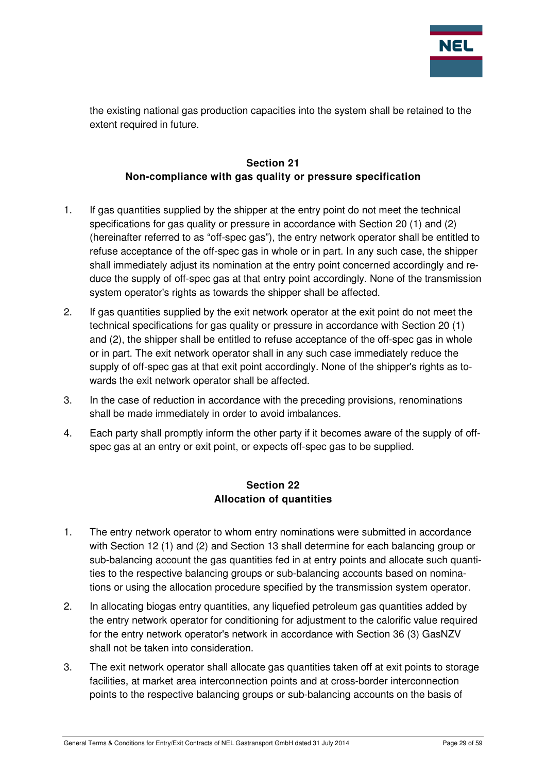

the existing national gas production capacities into the system shall be retained to the extent required in future.

# **Section 21 Non-compliance with gas quality or pressure specification**

- 1. If gas quantities supplied by the shipper at the entry point do not meet the technical specifications for gas quality or pressure in accordance with Section 20 (1) and (2) (hereinafter referred to as "off-spec gas"), the entry network operator shall be entitled to refuse acceptance of the off-spec gas in whole or in part. In any such case, the shipper shall immediately adjust its nomination at the entry point concerned accordingly and reduce the supply of off-spec gas at that entry point accordingly. None of the transmission system operator's rights as towards the shipper shall be affected.
- 2. If gas quantities supplied by the exit network operator at the exit point do not meet the technical specifications for gas quality or pressure in accordance with Section 20 (1) and (2), the shipper shall be entitled to refuse acceptance of the off-spec gas in whole or in part. The exit network operator shall in any such case immediately reduce the supply of off-spec gas at that exit point accordingly. None of the shipper's rights as towards the exit network operator shall be affected.
- 3. In the case of reduction in accordance with the preceding provisions, renominations shall be made immediately in order to avoid imbalances.
- 4. Each party shall promptly inform the other party if it becomes aware of the supply of offspec gas at an entry or exit point, or expects off-spec gas to be supplied.

## **Section 22 Allocation of quantities**

- 1. The entry network operator to whom entry nominations were submitted in accordance with Section 12 (1) and (2) and Section 13 shall determine for each balancing group or sub-balancing account the gas quantities fed in at entry points and allocate such quantities to the respective balancing groups or sub-balancing accounts based on nominations or using the allocation procedure specified by the transmission system operator.
- 2. In allocating biogas entry quantities, any liquefied petroleum gas quantities added by the entry network operator for conditioning for adjustment to the calorific value required for the entry network operator's network in accordance with Section 36 (3) GasNZV shall not be taken into consideration.
- 3. The exit network operator shall allocate gas quantities taken off at exit points to storage facilities, at market area interconnection points and at cross-border interconnection points to the respective balancing groups or sub-balancing accounts on the basis of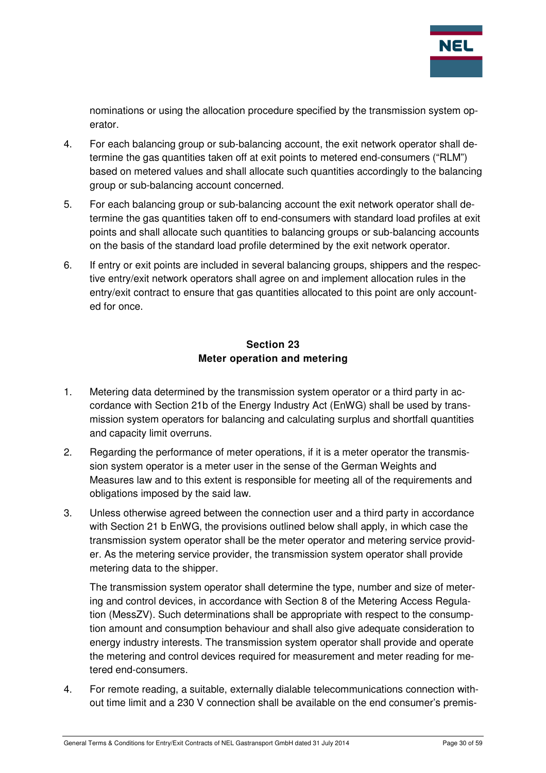

nominations or using the allocation procedure specified by the transmission system operator.

- 4. For each balancing group or sub-balancing account, the exit network operator shall determine the gas quantities taken off at exit points to metered end-consumers ("RLM") based on metered values and shall allocate such quantities accordingly to the balancing group or sub-balancing account concerned.
- 5. For each balancing group or sub-balancing account the exit network operator shall determine the gas quantities taken off to end-consumers with standard load profiles at exit points and shall allocate such quantities to balancing groups or sub-balancing accounts on the basis of the standard load profile determined by the exit network operator.
- 6. If entry or exit points are included in several balancing groups, shippers and the respective entry/exit network operators shall agree on and implement allocation rules in the entry/exit contract to ensure that gas quantities allocated to this point are only accounted for once.

# **Section 23 Meter operation and metering**

- 1. Metering data determined by the transmission system operator or a third party in accordance with Section 21b of the Energy Industry Act (EnWG) shall be used by transmission system operators for balancing and calculating surplus and shortfall quantities and capacity limit overruns.
- 2. Regarding the performance of meter operations, if it is a meter operator the transmission system operator is a meter user in the sense of the German Weights and Measures law and to this extent is responsible for meeting all of the requirements and obligations imposed by the said law.
- 3. Unless otherwise agreed between the connection user and a third party in accordance with Section 21 b EnWG, the provisions outlined below shall apply, in which case the transmission system operator shall be the meter operator and metering service provider. As the metering service provider, the transmission system operator shall provide metering data to the shipper.

The transmission system operator shall determine the type, number and size of metering and control devices, in accordance with Section 8 of the Metering Access Regulation (MessZV). Such determinations shall be appropriate with respect to the consumption amount and consumption behaviour and shall also give adequate consideration to energy industry interests. The transmission system operator shall provide and operate the metering and control devices required for measurement and meter reading for metered end-consumers.

4. For remote reading, a suitable, externally dialable telecommunications connection without time limit and a 230 V connection shall be available on the end consumer's premis-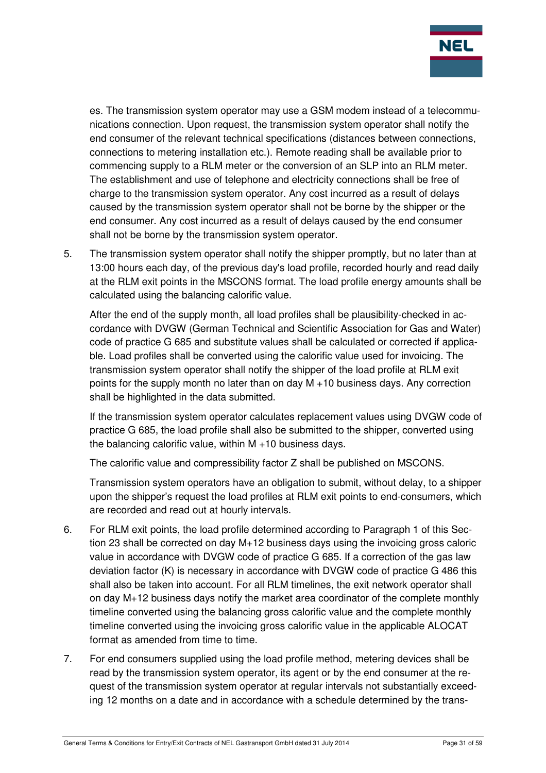

es. The transmission system operator may use a GSM modem instead of a telecommunications connection. Upon request, the transmission system operator shall notify the end consumer of the relevant technical specifications (distances between connections, connections to metering installation etc.). Remote reading shall be available prior to commencing supply to a RLM meter or the conversion of an SLP into an RLM meter. The establishment and use of telephone and electricity connections shall be free of charge to the transmission system operator. Any cost incurred as a result of delays caused by the transmission system operator shall not be borne by the shipper or the end consumer. Any cost incurred as a result of delays caused by the end consumer shall not be borne by the transmission system operator.

5. The transmission system operator shall notify the shipper promptly, but no later than at 13:00 hours each day, of the previous day's load profile, recorded hourly and read daily at the RLM exit points in the MSCONS format. The load profile energy amounts shall be calculated using the balancing calorific value.

After the end of the supply month, all load profiles shall be plausibility-checked in accordance with DVGW (German Technical and Scientific Association for Gas and Water) code of practice G 685 and substitute values shall be calculated or corrected if applicable. Load profiles shall be converted using the calorific value used for invoicing. The transmission system operator shall notify the shipper of the load profile at RLM exit points for the supply month no later than on day M +10 business days. Any correction shall be highlighted in the data submitted.

If the transmission system operator calculates replacement values using DVGW code of practice G 685, the load profile shall also be submitted to the shipper, converted using the balancing calorific value, within M +10 business days.

The calorific value and compressibility factor Z shall be published on MSCONS.

Transmission system operators have an obligation to submit, without delay, to a shipper upon the shipper's request the load profiles at RLM exit points to end-consumers, which are recorded and read out at hourly intervals.

- 6. For RLM exit points, the load profile determined according to Paragraph 1 of this Section 23 shall be corrected on day M+12 business days using the invoicing gross caloric value in accordance with DVGW code of practice G 685. If a correction of the gas law deviation factor (K) is necessary in accordance with DVGW code of practice G 486 this shall also be taken into account. For all RLM timelines, the exit network operator shall on day M+12 business days notify the market area coordinator of the complete monthly timeline converted using the balancing gross calorific value and the complete monthly timeline converted using the invoicing gross calorific value in the applicable ALOCAT format as amended from time to time.
- 7. For end consumers supplied using the load profile method, metering devices shall be read by the transmission system operator, its agent or by the end consumer at the request of the transmission system operator at regular intervals not substantially exceeding 12 months on a date and in accordance with a schedule determined by the trans-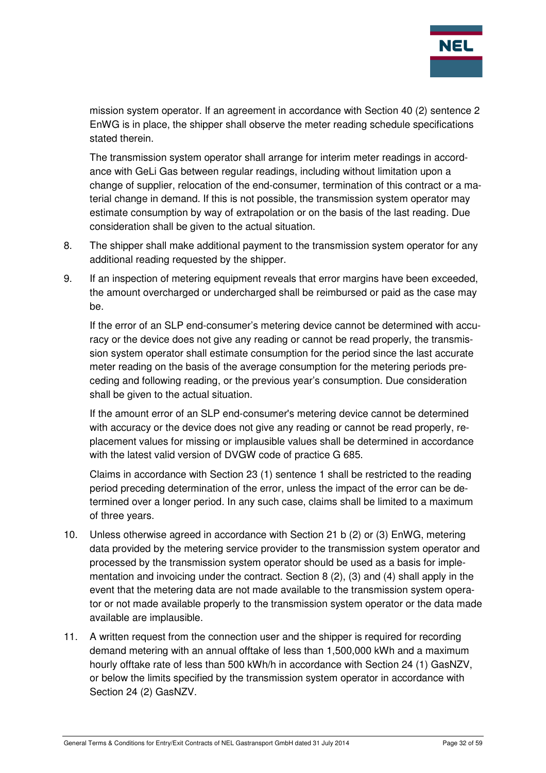

mission system operator. If an agreement in accordance with Section 40 (2) sentence 2 EnWG is in place, the shipper shall observe the meter reading schedule specifications stated therein.

The transmission system operator shall arrange for interim meter readings in accordance with GeLi Gas between regular readings, including without limitation upon a change of supplier, relocation of the end-consumer, termination of this contract or a material change in demand. If this is not possible, the transmission system operator may estimate consumption by way of extrapolation or on the basis of the last reading. Due consideration shall be given to the actual situation.

- 8. The shipper shall make additional payment to the transmission system operator for any additional reading requested by the shipper.
- 9. If an inspection of metering equipment reveals that error margins have been exceeded, the amount overcharged or undercharged shall be reimbursed or paid as the case may be.

If the error of an SLP end-consumer's metering device cannot be determined with accuracy or the device does not give any reading or cannot be read properly, the transmission system operator shall estimate consumption for the period since the last accurate meter reading on the basis of the average consumption for the metering periods preceding and following reading, or the previous year's consumption. Due consideration shall be given to the actual situation.

If the amount error of an SLP end-consumer's metering device cannot be determined with accuracy or the device does not give any reading or cannot be read properly, replacement values for missing or implausible values shall be determined in accordance with the latest valid version of DVGW code of practice G 685.

Claims in accordance with Section 23 (1) sentence 1 shall be restricted to the reading period preceding determination of the error, unless the impact of the error can be determined over a longer period. In any such case, claims shall be limited to a maximum of three years.

- 10. Unless otherwise agreed in accordance with Section 21 b (2) or (3) EnWG, metering data provided by the metering service provider to the transmission system operator and processed by the transmission system operator should be used as a basis for implementation and invoicing under the contract. Section 8 (2), (3) and (4) shall apply in the event that the metering data are not made available to the transmission system operator or not made available properly to the transmission system operator or the data made available are implausible.
- 11. A written request from the connection user and the shipper is required for recording demand metering with an annual offtake of less than 1,500,000 kWh and a maximum hourly offtake rate of less than 500 kWh/h in accordance with Section 24 (1) GasNZV, or below the limits specified by the transmission system operator in accordance with Section 24 (2) GasNZV.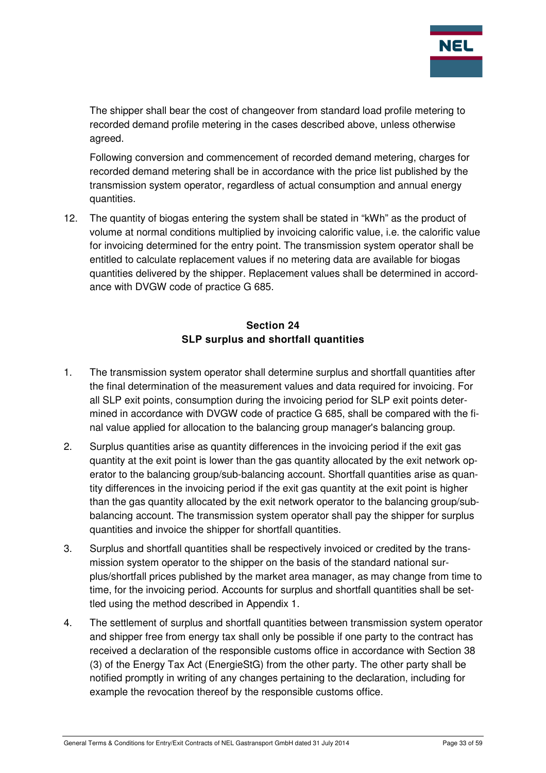

The shipper shall bear the cost of changeover from standard load profile metering to recorded demand profile metering in the cases described above, unless otherwise agreed.

Following conversion and commencement of recorded demand metering, charges for recorded demand metering shall be in accordance with the price list published by the transmission system operator, regardless of actual consumption and annual energy quantities.

12. The quantity of biogas entering the system shall be stated in "kWh" as the product of volume at normal conditions multiplied by invoicing calorific value, i.e. the calorific value for invoicing determined for the entry point. The transmission system operator shall be entitled to calculate replacement values if no metering data are available for biogas quantities delivered by the shipper. Replacement values shall be determined in accordance with DVGW code of practice G 685.

# **Section 24 SLP surplus and shortfall quantities**

- 1. The transmission system operator shall determine surplus and shortfall quantities after the final determination of the measurement values and data required for invoicing. For all SLP exit points, consumption during the invoicing period for SLP exit points determined in accordance with DVGW code of practice G 685, shall be compared with the final value applied for allocation to the balancing group manager's balancing group.
- 2. Surplus quantities arise as quantity differences in the invoicing period if the exit gas quantity at the exit point is lower than the gas quantity allocated by the exit network operator to the balancing group/sub-balancing account. Shortfall quantities arise as quantity differences in the invoicing period if the exit gas quantity at the exit point is higher than the gas quantity allocated by the exit network operator to the balancing group/subbalancing account. The transmission system operator shall pay the shipper for surplus quantities and invoice the shipper for shortfall quantities.
- 3. Surplus and shortfall quantities shall be respectively invoiced or credited by the transmission system operator to the shipper on the basis of the standard national surplus/shortfall prices published by the market area manager, as may change from time to time, for the invoicing period. Accounts for surplus and shortfall quantities shall be settled using the method described in Appendix 1.
- 4. The settlement of surplus and shortfall quantities between transmission system operator and shipper free from energy tax shall only be possible if one party to the contract has received a declaration of the responsible customs office in accordance with Section 38 (3) of the Energy Tax Act (EnergieStG) from the other party. The other party shall be notified promptly in writing of any changes pertaining to the declaration, including for example the revocation thereof by the responsible customs office.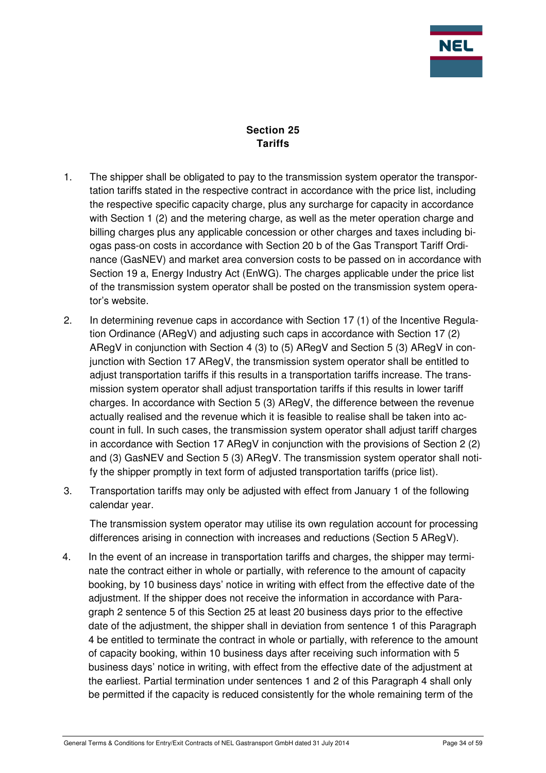

**Section 25 Tariffs** 

- 1. The shipper shall be obligated to pay to the transmission system operator the transportation tariffs stated in the respective contract in accordance with the price list, including the respective specific capacity charge, plus any surcharge for capacity in accordance with Section 1 (2) and the metering charge, as well as the meter operation charge and billing charges plus any applicable concession or other charges and taxes including biogas pass-on costs in accordance with Section 20 b of the Gas Transport Tariff Ordinance (GasNEV) and market area conversion costs to be passed on in accordance with Section 19 a, Energy Industry Act (EnWG). The charges applicable under the price list of the transmission system operator shall be posted on the transmission system operator's website.
- 2. In determining revenue caps in accordance with Section 17 (1) of the Incentive Regulation Ordinance (ARegV) and adjusting such caps in accordance with Section 17 (2) ARegV in conjunction with Section 4 (3) to (5) ARegV and Section 5 (3) ARegV in conjunction with Section 17 ARegV, the transmission system operator shall be entitled to adjust transportation tariffs if this results in a transportation tariffs increase. The transmission system operator shall adjust transportation tariffs if this results in lower tariff charges. In accordance with Section 5 (3) ARegV, the difference between the revenue actually realised and the revenue which it is feasible to realise shall be taken into account in full. In such cases, the transmission system operator shall adjust tariff charges in accordance with Section 17 ARegV in conjunction with the provisions of Section 2 (2) and (3) GasNEV and Section 5 (3) ARegV. The transmission system operator shall notify the shipper promptly in text form of adjusted transportation tariffs (price list).
- 3. Transportation tariffs may only be adjusted with effect from January 1 of the following calendar year.

The transmission system operator may utilise its own regulation account for processing differences arising in connection with increases and reductions (Section 5 ARegV).

4. In the event of an increase in transportation tariffs and charges, the shipper may terminate the contract either in whole or partially, with reference to the amount of capacity booking, by 10 business days' notice in writing with effect from the effective date of the adjustment. If the shipper does not receive the information in accordance with Paragraph 2 sentence 5 of this Section 25 at least 20 business days prior to the effective date of the adjustment, the shipper shall in deviation from sentence 1 of this Paragraph 4 be entitled to terminate the contract in whole or partially, with reference to the amount of capacity booking, within 10 business days after receiving such information with 5 business days' notice in writing, with effect from the effective date of the adjustment at the earliest. Partial termination under sentences 1 and 2 of this Paragraph 4 shall only be permitted if the capacity is reduced consistently for the whole remaining term of the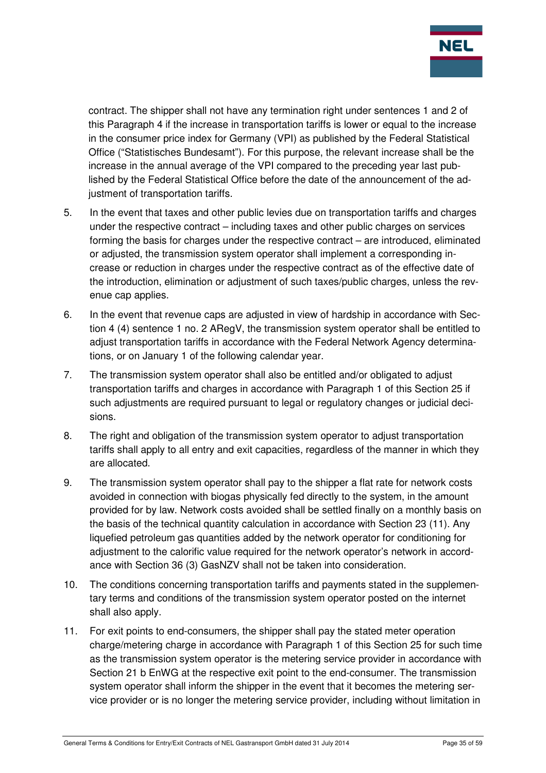

contract. The shipper shall not have any termination right under sentences 1 and 2 of this Paragraph 4 if the increase in transportation tariffs is lower or equal to the increase in the consumer price index for Germany (VPI) as published by the Federal Statistical Office ("Statistisches Bundesamt"). For this purpose, the relevant increase shall be the increase in the annual average of the VPI compared to the preceding year last published by the Federal Statistical Office before the date of the announcement of the adjustment of transportation tariffs.

- 5. In the event that taxes and other public levies due on transportation tariffs and charges under the respective contract – including taxes and other public charges on services forming the basis for charges under the respective contract – are introduced, eliminated or adjusted, the transmission system operator shall implement a corresponding increase or reduction in charges under the respective contract as of the effective date of the introduction, elimination or adjustment of such taxes/public charges, unless the revenue cap applies.
- 6. In the event that revenue caps are adjusted in view of hardship in accordance with Section 4 (4) sentence 1 no. 2 ARegV, the transmission system operator shall be entitled to adjust transportation tariffs in accordance with the Federal Network Agency determinations, or on January 1 of the following calendar year.
- 7. The transmission system operator shall also be entitled and/or obligated to adjust transportation tariffs and charges in accordance with Paragraph 1 of this Section 25 if such adjustments are required pursuant to legal or regulatory changes or judicial decisions.
- 8. The right and obligation of the transmission system operator to adjust transportation tariffs shall apply to all entry and exit capacities, regardless of the manner in which they are allocated.
- 9. The transmission system operator shall pay to the shipper a flat rate for network costs avoided in connection with biogas physically fed directly to the system, in the amount provided for by law. Network costs avoided shall be settled finally on a monthly basis on the basis of the technical quantity calculation in accordance with Section 23 (11). Any liquefied petroleum gas quantities added by the network operator for conditioning for adjustment to the calorific value required for the network operator's network in accordance with Section 36 (3) GasNZV shall not be taken into consideration.
- 10. The conditions concerning transportation tariffs and payments stated in the supplementary terms and conditions of the transmission system operator posted on the internet shall also apply.
- 11. For exit points to end-consumers, the shipper shall pay the stated meter operation charge/metering charge in accordance with Paragraph 1 of this Section 25 for such time as the transmission system operator is the metering service provider in accordance with Section 21 b EnWG at the respective exit point to the end-consumer. The transmission system operator shall inform the shipper in the event that it becomes the metering service provider or is no longer the metering service provider, including without limitation in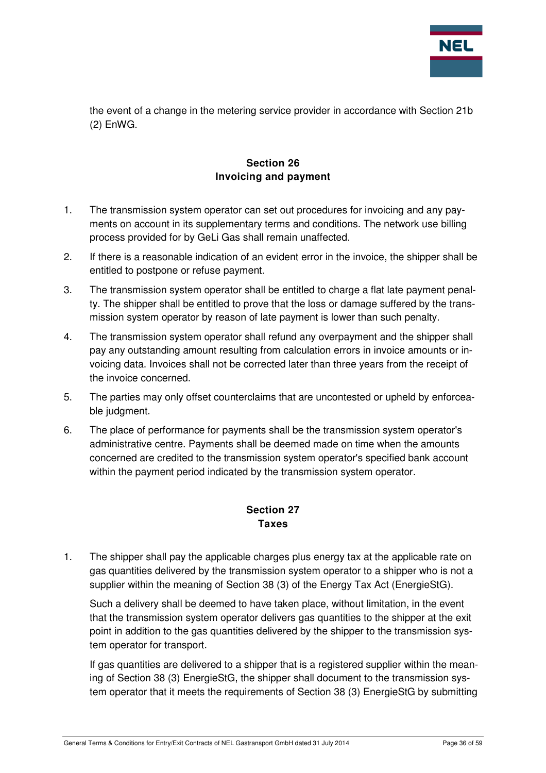

the event of a change in the metering service provider in accordance with Section 21b (2) EnWG.

# **Section 26 Invoicing and payment**

- 1. The transmission system operator can set out procedures for invoicing and any payments on account in its supplementary terms and conditions. The network use billing process provided for by GeLi Gas shall remain unaffected.
- 2. If there is a reasonable indication of an evident error in the invoice, the shipper shall be entitled to postpone or refuse payment.
- 3. The transmission system operator shall be entitled to charge a flat late payment penalty. The shipper shall be entitled to prove that the loss or damage suffered by the transmission system operator by reason of late payment is lower than such penalty.
- 4. The transmission system operator shall refund any overpayment and the shipper shall pay any outstanding amount resulting from calculation errors in invoice amounts or invoicing data. Invoices shall not be corrected later than three years from the receipt of the invoice concerned.
- 5. The parties may only offset counterclaims that are uncontested or upheld by enforceable judgment.
- 6. The place of performance for payments shall be the transmission system operator's administrative centre. Payments shall be deemed made on time when the amounts concerned are credited to the transmission system operator's specified bank account within the payment period indicated by the transmission system operator.

# **Section 27 Taxes**

1. The shipper shall pay the applicable charges plus energy tax at the applicable rate on gas quantities delivered by the transmission system operator to a shipper who is not a supplier within the meaning of Section 38 (3) of the Energy Tax Act (EnergieStG).

Such a delivery shall be deemed to have taken place, without limitation, in the event that the transmission system operator delivers gas quantities to the shipper at the exit point in addition to the gas quantities delivered by the shipper to the transmission system operator for transport.

If gas quantities are delivered to a shipper that is a registered supplier within the meaning of Section 38 (3) EnergieStG, the shipper shall document to the transmission system operator that it meets the requirements of Section 38 (3) EnergieStG by submitting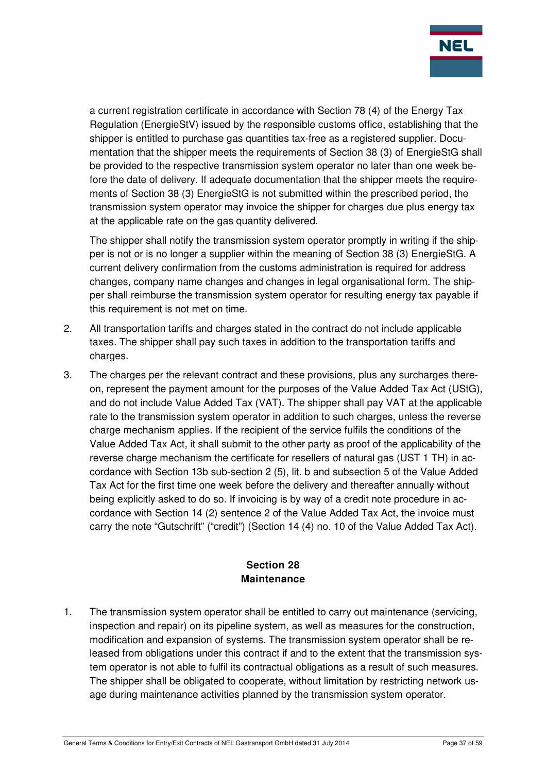

a current registration certificate in accordance with Section 78 (4) of the Energy Tax Regulation (EnergieStV) issued by the responsible customs office, establishing that the shipper is entitled to purchase gas quantities tax-free as a registered supplier. Documentation that the shipper meets the requirements of Section 38 (3) of EnergieStG shall be provided to the respective transmission system operator no later than one week before the date of delivery. If adequate documentation that the shipper meets the requirements of Section 38 (3) EnergieStG is not submitted within the prescribed period, the transmission system operator may invoice the shipper for charges due plus energy tax at the applicable rate on the gas quantity delivered.

The shipper shall notify the transmission system operator promptly in writing if the shipper is not or is no longer a supplier within the meaning of Section 38 (3) EnergieStG. A current delivery confirmation from the customs administration is required for address changes, company name changes and changes in legal organisational form. The shipper shall reimburse the transmission system operator for resulting energy tax payable if this requirement is not met on time.

- 2. All transportation tariffs and charges stated in the contract do not include applicable taxes. The shipper shall pay such taxes in addition to the transportation tariffs and charges.
- 3. The charges per the relevant contract and these provisions, plus any surcharges thereon, represent the payment amount for the purposes of the Value Added Tax Act (UStG), and do not include Value Added Tax (VAT). The shipper shall pay VAT at the applicable rate to the transmission system operator in addition to such charges, unless the reverse charge mechanism applies. If the recipient of the service fulfils the conditions of the Value Added Tax Act, it shall submit to the other party as proof of the applicability of the reverse charge mechanism the certificate for resellers of natural gas (UST 1 TH) in accordance with Section 13b sub-section 2 (5), lit. b and subsection 5 of the Value Added Tax Act for the first time one week before the delivery and thereafter annually without being explicitly asked to do so. If invoicing is by way of a credit note procedure in accordance with Section 14 (2) sentence 2 of the Value Added Tax Act, the invoice must carry the note "Gutschrift" ("credit") (Section 14 (4) no. 10 of the Value Added Tax Act).

# **Section 28 Maintenance**

1. The transmission system operator shall be entitled to carry out maintenance (servicing, inspection and repair) on its pipeline system, as well as measures for the construction, modification and expansion of systems. The transmission system operator shall be released from obligations under this contract if and to the extent that the transmission system operator is not able to fulfil its contractual obligations as a result of such measures. The shipper shall be obligated to cooperate, without limitation by restricting network usage during maintenance activities planned by the transmission system operator.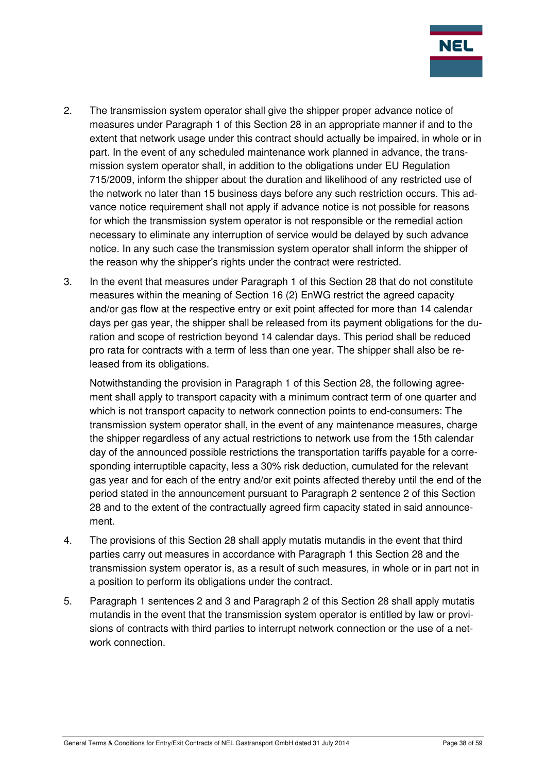

- 2. The transmission system operator shall give the shipper proper advance notice of measures under Paragraph 1 of this Section 28 in an appropriate manner if and to the extent that network usage under this contract should actually be impaired, in whole or in part. In the event of any scheduled maintenance work planned in advance, the transmission system operator shall, in addition to the obligations under EU Regulation 715/2009, inform the shipper about the duration and likelihood of any restricted use of the network no later than 15 business days before any such restriction occurs. This advance notice requirement shall not apply if advance notice is not possible for reasons for which the transmission system operator is not responsible or the remedial action necessary to eliminate any interruption of service would be delayed by such advance notice. In any such case the transmission system operator shall inform the shipper of the reason why the shipper's rights under the contract were restricted.
- 3. In the event that measures under Paragraph 1 of this Section 28 that do not constitute measures within the meaning of Section 16 (2) EnWG restrict the agreed capacity and/or gas flow at the respective entry or exit point affected for more than 14 calendar days per gas year, the shipper shall be released from its payment obligations for the duration and scope of restriction beyond 14 calendar days. This period shall be reduced pro rata for contracts with a term of less than one year. The shipper shall also be released from its obligations.

Notwithstanding the provision in Paragraph 1 of this Section 28, the following agreement shall apply to transport capacity with a minimum contract term of one quarter and which is not transport capacity to network connection points to end-consumers: The transmission system operator shall, in the event of any maintenance measures, charge the shipper regardless of any actual restrictions to network use from the 15th calendar day of the announced possible restrictions the transportation tariffs payable for a corresponding interruptible capacity, less a 30% risk deduction, cumulated for the relevant gas year and for each of the entry and/or exit points affected thereby until the end of the period stated in the announcement pursuant to Paragraph 2 sentence 2 of this Section 28 and to the extent of the contractually agreed firm capacity stated in said announcement.

- 4. The provisions of this Section 28 shall apply mutatis mutandis in the event that third parties carry out measures in accordance with Paragraph 1 this Section 28 and the transmission system operator is, as a result of such measures, in whole or in part not in a position to perform its obligations under the contract.
- 5. Paragraph 1 sentences 2 and 3 and Paragraph 2 of this Section 28 shall apply mutatis mutandis in the event that the transmission system operator is entitled by law or provisions of contracts with third parties to interrupt network connection or the use of a network connection.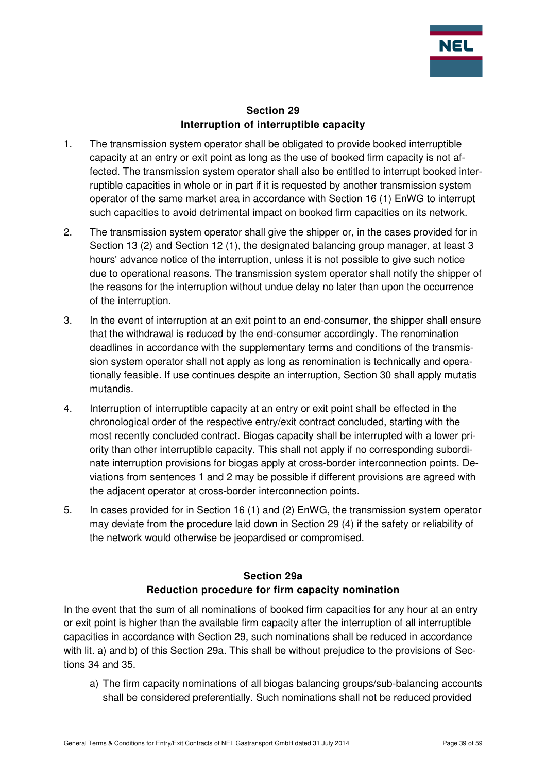

#### **Section 29 Interruption of interruptible capacity**

- 1. The transmission system operator shall be obligated to provide booked interruptible capacity at an entry or exit point as long as the use of booked firm capacity is not affected. The transmission system operator shall also be entitled to interrupt booked interruptible capacities in whole or in part if it is requested by another transmission system operator of the same market area in accordance with Section 16 (1) EnWG to interrupt such capacities to avoid detrimental impact on booked firm capacities on its network.
- 2. The transmission system operator shall give the shipper or, in the cases provided for in Section 13 (2) and Section 12 (1), the designated balancing group manager, at least 3 hours' advance notice of the interruption, unless it is not possible to give such notice due to operational reasons. The transmission system operator shall notify the shipper of the reasons for the interruption without undue delay no later than upon the occurrence of the interruption.
- 3. In the event of interruption at an exit point to an end-consumer, the shipper shall ensure that the withdrawal is reduced by the end-consumer accordingly. The renomination deadlines in accordance with the supplementary terms and conditions of the transmission system operator shall not apply as long as renomination is technically and operationally feasible. If use continues despite an interruption, Section 30 shall apply mutatis mutandis.
- 4. Interruption of interruptible capacity at an entry or exit point shall be effected in the chronological order of the respective entry/exit contract concluded, starting with the most recently concluded contract. Biogas capacity shall be interrupted with a lower priority than other interruptible capacity. This shall not apply if no corresponding subordinate interruption provisions for biogas apply at cross-border interconnection points. Deviations from sentences 1 and 2 may be possible if different provisions are agreed with the adjacent operator at cross-border interconnection points.
- 5. In cases provided for in Section 16 (1) and (2) EnWG, the transmission system operator may deviate from the procedure laid down in Section 29 (4) if the safety or reliability of the network would otherwise be jeopardised or compromised.

# **Section 29a Reduction procedure for firm capacity nomination**

In the event that the sum of all nominations of booked firm capacities for any hour at an entry or exit point is higher than the available firm capacity after the interruption of all interruptible capacities in accordance with Section 29, such nominations shall be reduced in accordance with lit. a) and b) of this Section 29a. This shall be without prejudice to the provisions of Sections 34 and 35.

a) The firm capacity nominations of all biogas balancing groups/sub-balancing accounts shall be considered preferentially. Such nominations shall not be reduced provided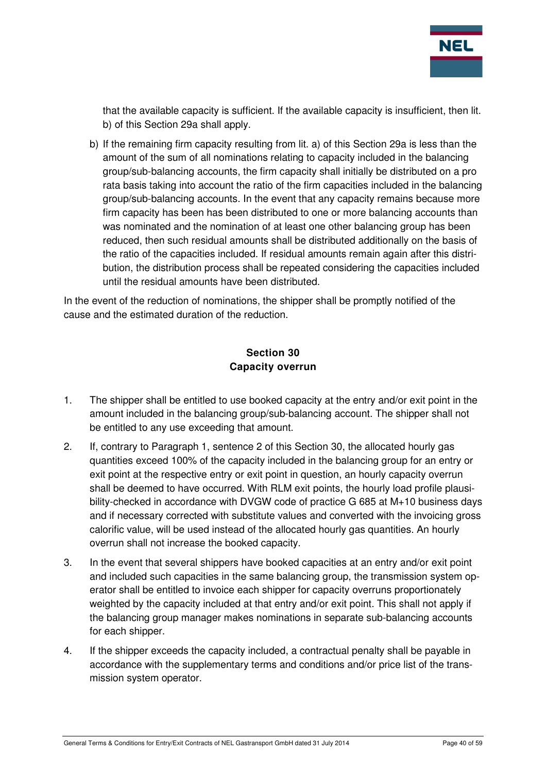

that the available capacity is sufficient. If the available capacity is insufficient, then lit. b) of this Section 29a shall apply.

b) If the remaining firm capacity resulting from lit. a) of this Section 29a is less than the amount of the sum of all nominations relating to capacity included in the balancing group/sub-balancing accounts, the firm capacity shall initially be distributed on a pro rata basis taking into account the ratio of the firm capacities included in the balancing group/sub-balancing accounts. In the event that any capacity remains because more firm capacity has been has been distributed to one or more balancing accounts than was nominated and the nomination of at least one other balancing group has been reduced, then such residual amounts shall be distributed additionally on the basis of the ratio of the capacities included. If residual amounts remain again after this distribution, the distribution process shall be repeated considering the capacities included until the residual amounts have been distributed.

In the event of the reduction of nominations, the shipper shall be promptly notified of the cause and the estimated duration of the reduction.

# **Section 30 Capacity overrun**

- 1. The shipper shall be entitled to use booked capacity at the entry and/or exit point in the amount included in the balancing group/sub-balancing account. The shipper shall not be entitled to any use exceeding that amount.
- 2. If, contrary to Paragraph 1, sentence 2 of this Section 30, the allocated hourly gas quantities exceed 100% of the capacity included in the balancing group for an entry or exit point at the respective entry or exit point in question, an hourly capacity overrun shall be deemed to have occurred. With RLM exit points, the hourly load profile plausibility-checked in accordance with DVGW code of practice G 685 at M+10 business days and if necessary corrected with substitute values and converted with the invoicing gross calorific value, will be used instead of the allocated hourly gas quantities. An hourly overrun shall not increase the booked capacity.
- 3. In the event that several shippers have booked capacities at an entry and/or exit point and included such capacities in the same balancing group, the transmission system operator shall be entitled to invoice each shipper for capacity overruns proportionately weighted by the capacity included at that entry and/or exit point. This shall not apply if the balancing group manager makes nominations in separate sub-balancing accounts for each shipper.
- 4. If the shipper exceeds the capacity included, a contractual penalty shall be payable in accordance with the supplementary terms and conditions and/or price list of the transmission system operator.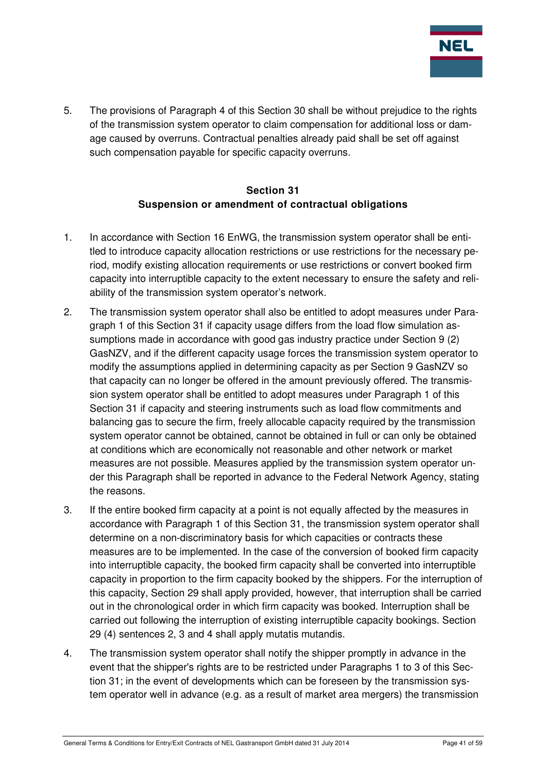

5. The provisions of Paragraph 4 of this Section 30 shall be without prejudice to the rights of the transmission system operator to claim compensation for additional loss or damage caused by overruns. Contractual penalties already paid shall be set off against such compensation payable for specific capacity overruns.

## **Section 31 Suspension or amendment of contractual obligations**

- 1. In accordance with Section 16 EnWG, the transmission system operator shall be entitled to introduce capacity allocation restrictions or use restrictions for the necessary period, modify existing allocation requirements or use restrictions or convert booked firm capacity into interruptible capacity to the extent necessary to ensure the safety and reliability of the transmission system operator's network.
- 2. The transmission system operator shall also be entitled to adopt measures under Paragraph 1 of this Section 31 if capacity usage differs from the load flow simulation assumptions made in accordance with good gas industry practice under Section 9 (2) GasNZV, and if the different capacity usage forces the transmission system operator to modify the assumptions applied in determining capacity as per Section 9 GasNZV so that capacity can no longer be offered in the amount previously offered. The transmission system operator shall be entitled to adopt measures under Paragraph 1 of this Section 31 if capacity and steering instruments such as load flow commitments and balancing gas to secure the firm, freely allocable capacity required by the transmission system operator cannot be obtained, cannot be obtained in full or can only be obtained at conditions which are economically not reasonable and other network or market measures are not possible. Measures applied by the transmission system operator under this Paragraph shall be reported in advance to the Federal Network Agency, stating the reasons.
- 3. If the entire booked firm capacity at a point is not equally affected by the measures in accordance with Paragraph 1 of this Section 31, the transmission system operator shall determine on a non-discriminatory basis for which capacities or contracts these measures are to be implemented. In the case of the conversion of booked firm capacity into interruptible capacity, the booked firm capacity shall be converted into interruptible capacity in proportion to the firm capacity booked by the shippers. For the interruption of this capacity, Section 29 shall apply provided, however, that interruption shall be carried out in the chronological order in which firm capacity was booked. Interruption shall be carried out following the interruption of existing interruptible capacity bookings. Section 29 (4) sentences 2, 3 and 4 shall apply mutatis mutandis.
- 4. The transmission system operator shall notify the shipper promptly in advance in the event that the shipper's rights are to be restricted under Paragraphs 1 to 3 of this Section 31; in the event of developments which can be foreseen by the transmission system operator well in advance (e.g. as a result of market area mergers) the transmission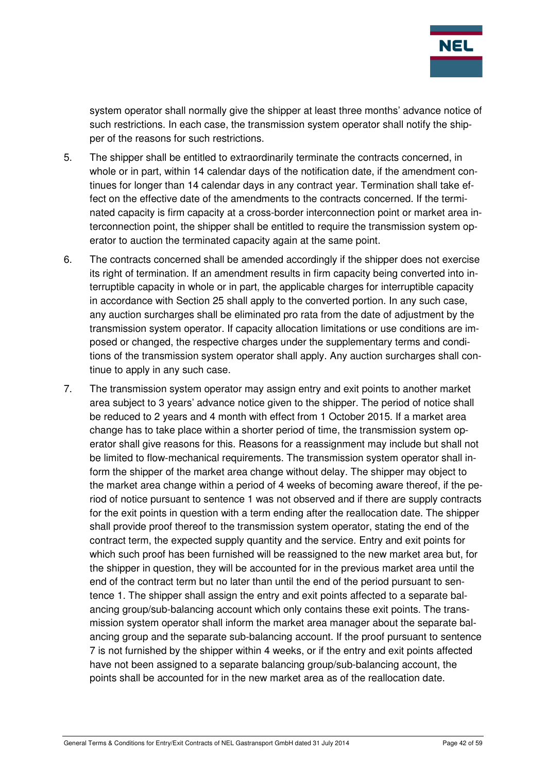

system operator shall normally give the shipper at least three months' advance notice of such restrictions. In each case, the transmission system operator shall notify the shipper of the reasons for such restrictions.

- 5. The shipper shall be entitled to extraordinarily terminate the contracts concerned, in whole or in part, within 14 calendar days of the notification date, if the amendment continues for longer than 14 calendar days in any contract year. Termination shall take effect on the effective date of the amendments to the contracts concerned. If the terminated capacity is firm capacity at a cross-border interconnection point or market area interconnection point, the shipper shall be entitled to require the transmission system operator to auction the terminated capacity again at the same point.
- 6. The contracts concerned shall be amended accordingly if the shipper does not exercise its right of termination. If an amendment results in firm capacity being converted into interruptible capacity in whole or in part, the applicable charges for interruptible capacity in accordance with Section 25 shall apply to the converted portion. In any such case, any auction surcharges shall be eliminated pro rata from the date of adjustment by the transmission system operator. If capacity allocation limitations or use conditions are imposed or changed, the respective charges under the supplementary terms and conditions of the transmission system operator shall apply. Any auction surcharges shall continue to apply in any such case.
- 7. The transmission system operator may assign entry and exit points to another market area subject to 3 years' advance notice given to the shipper. The period of notice shall be reduced to 2 years and 4 month with effect from 1 October 2015. If a market area change has to take place within a shorter period of time, the transmission system operator shall give reasons for this. Reasons for a reassignment may include but shall not be limited to flow-mechanical requirements. The transmission system operator shall inform the shipper of the market area change without delay. The shipper may object to the market area change within a period of 4 weeks of becoming aware thereof, if the period of notice pursuant to sentence 1 was not observed and if there are supply contracts for the exit points in question with a term ending after the reallocation date. The shipper shall provide proof thereof to the transmission system operator, stating the end of the contract term, the expected supply quantity and the service. Entry and exit points for which such proof has been furnished will be reassigned to the new market area but, for the shipper in question, they will be accounted for in the previous market area until the end of the contract term but no later than until the end of the period pursuant to sentence 1. The shipper shall assign the entry and exit points affected to a separate balancing group/sub-balancing account which only contains these exit points. The transmission system operator shall inform the market area manager about the separate balancing group and the separate sub-balancing account. If the proof pursuant to sentence 7 is not furnished by the shipper within 4 weeks, or if the entry and exit points affected have not been assigned to a separate balancing group/sub-balancing account, the points shall be accounted for in the new market area as of the reallocation date.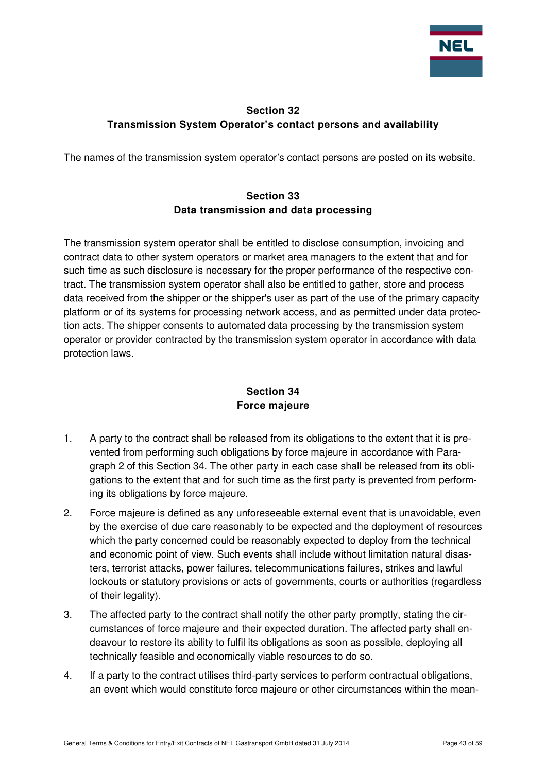

# **Section 32 Transmission System Operator's contact persons and availability**

The names of the transmission system operator's contact persons are posted on its website.

# **Section 33 Data transmission and data processing**

The transmission system operator shall be entitled to disclose consumption, invoicing and contract data to other system operators or market area managers to the extent that and for such time as such disclosure is necessary for the proper performance of the respective contract. The transmission system operator shall also be entitled to gather, store and process data received from the shipper or the shipper's user as part of the use of the primary capacity platform or of its systems for processing network access, and as permitted under data protection acts. The shipper consents to automated data processing by the transmission system operator or provider contracted by the transmission system operator in accordance with data protection laws.

# **Section 34 Force majeure**

- 1. A party to the contract shall be released from its obligations to the extent that it is prevented from performing such obligations by force majeure in accordance with Paragraph 2 of this Section 34. The other party in each case shall be released from its obligations to the extent that and for such time as the first party is prevented from performing its obligations by force majeure.
- 2. Force majeure is defined as any unforeseeable external event that is unavoidable, even by the exercise of due care reasonably to be expected and the deployment of resources which the party concerned could be reasonably expected to deploy from the technical and economic point of view. Such events shall include without limitation natural disasters, terrorist attacks, power failures, telecommunications failures, strikes and lawful lockouts or statutory provisions or acts of governments, courts or authorities (regardless of their legality).
- 3. The affected party to the contract shall notify the other party promptly, stating the circumstances of force majeure and their expected duration. The affected party shall endeavour to restore its ability to fulfil its obligations as soon as possible, deploying all technically feasible and economically viable resources to do so.
- 4. If a party to the contract utilises third-party services to perform contractual obligations, an event which would constitute force majeure or other circumstances within the mean-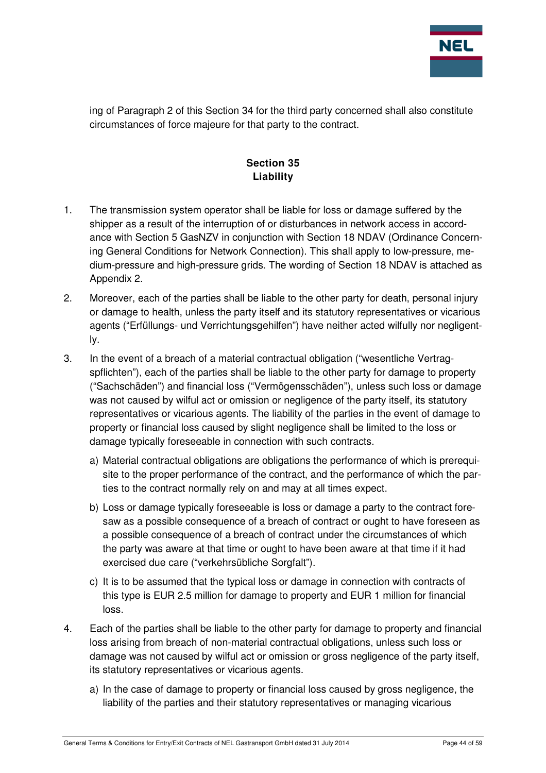

ing of Paragraph 2 of this Section 34 for the third party concerned shall also constitute circumstances of force majeure for that party to the contract.

# **Section 35 Liability**

- 1. The transmission system operator shall be liable for loss or damage suffered by the shipper as a result of the interruption of or disturbances in network access in accordance with Section 5 GasNZV in conjunction with Section 18 NDAV (Ordinance Concerning General Conditions for Network Connection). This shall apply to low-pressure, medium-pressure and high-pressure grids. The wording of Section 18 NDAV is attached as Appendix 2.
- 2. Moreover, each of the parties shall be liable to the other party for death, personal injury or damage to health, unless the party itself and its statutory representatives or vicarious agents ("Erfüllungs- und Verrichtungsgehilfen") have neither acted wilfully nor negligently.
- 3. In the event of a breach of a material contractual obligation ("wesentliche Vertragspflichten"), each of the parties shall be liable to the other party for damage to property ("Sachschäden") and financial loss ("Vermögensschäden"), unless such loss or damage was not caused by wilful act or omission or negligence of the party itself, its statutory representatives or vicarious agents. The liability of the parties in the event of damage to property or financial loss caused by slight negligence shall be limited to the loss or damage typically foreseeable in connection with such contracts.
	- a) Material contractual obligations are obligations the performance of which is prerequisite to the proper performance of the contract, and the performance of which the parties to the contract normally rely on and may at all times expect.
	- b) Loss or damage typically foreseeable is loss or damage a party to the contract foresaw as a possible consequence of a breach of contract or ought to have foreseen as a possible consequence of a breach of contract under the circumstances of which the party was aware at that time or ought to have been aware at that time if it had exercised due care ("verkehrsübliche Sorgfalt").
	- c) It is to be assumed that the typical loss or damage in connection with contracts of this type is EUR 2.5 million for damage to property and EUR 1 million for financial loss.
- 4. Each of the parties shall be liable to the other party for damage to property and financial loss arising from breach of non-material contractual obligations, unless such loss or damage was not caused by wilful act or omission or gross negligence of the party itself, its statutory representatives or vicarious agents.
	- a) In the case of damage to property or financial loss caused by gross negligence, the liability of the parties and their statutory representatives or managing vicarious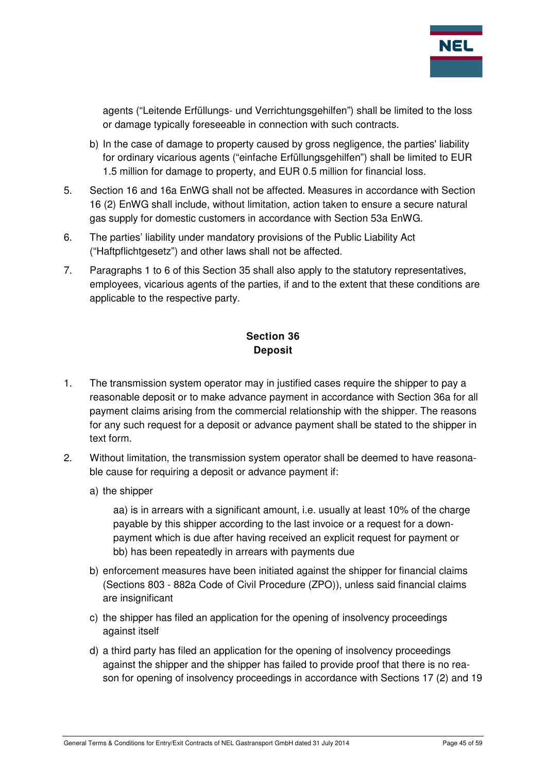

agents ("Leitende Erfüllungs- und Verrichtungsgehilfen") shall be limited to the loss or damage typically foreseeable in connection with such contracts.

- b) In the case of damage to property caused by gross negligence, the parties' liability for ordinary vicarious agents ("einfache Erfüllungsgehilfen") shall be limited to EUR 1.5 million for damage to property, and EUR 0.5 million for financial loss.
- 5. Section 16 and 16a EnWG shall not be affected. Measures in accordance with Section 16 (2) EnWG shall include, without limitation, action taken to ensure a secure natural gas supply for domestic customers in accordance with Section 53a EnWG.
- 6. The parties' liability under mandatory provisions of the Public Liability Act ("Haftpflichtgesetz") and other laws shall not be affected.
- 7. Paragraphs 1 to 6 of this Section 35 shall also apply to the statutory representatives, employees, vicarious agents of the parties, if and to the extent that these conditions are applicable to the respective party.

# **Section 36 Deposit**

- 1. The transmission system operator may in justified cases require the shipper to pay a reasonable deposit or to make advance payment in accordance with Section 36a for all payment claims arising from the commercial relationship with the shipper. The reasons for any such request for a deposit or advance payment shall be stated to the shipper in text form.
- 2. Without limitation, the transmission system operator shall be deemed to have reasonable cause for requiring a deposit or advance payment if:
	- a) the shipper

aa) is in arrears with a significant amount, i.e. usually at least 10% of the charge payable by this shipper according to the last invoice or a request for a downpayment which is due after having received an explicit request for payment or bb) has been repeatedly in arrears with payments due

- b) enforcement measures have been initiated against the shipper for financial claims (Sections 803 - 882a Code of Civil Procedure (ZPO)), unless said financial claims are insignificant
- c) the shipper has filed an application for the opening of insolvency proceedings against itself
- d) a third party has filed an application for the opening of insolvency proceedings against the shipper and the shipper has failed to provide proof that there is no reason for opening of insolvency proceedings in accordance with Sections 17 (2) and 19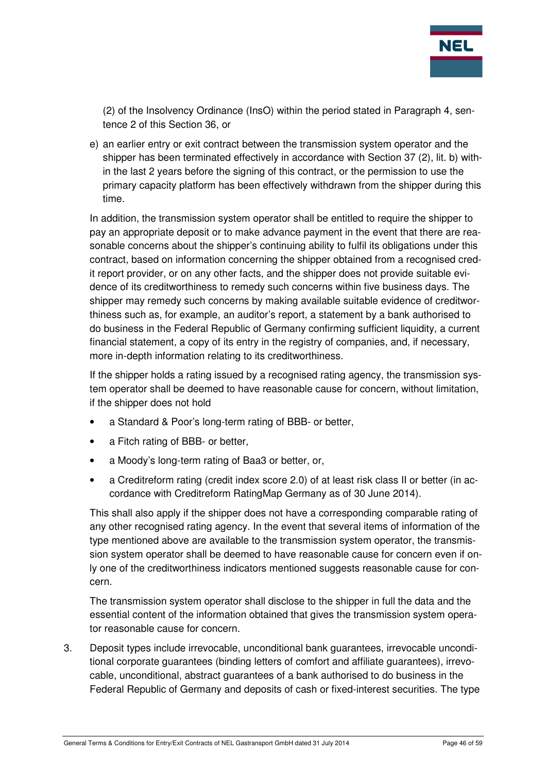

(2) of the Insolvency Ordinance (InsO) within the period stated in Paragraph 4, sentence 2 of this Section 36, or

e) an earlier entry or exit contract between the transmission system operator and the shipper has been terminated effectively in accordance with Section 37 (2), lit. b) within the last 2 years before the signing of this contract, or the permission to use the primary capacity platform has been effectively withdrawn from the shipper during this time.

In addition, the transmission system operator shall be entitled to require the shipper to pay an appropriate deposit or to make advance payment in the event that there are reasonable concerns about the shipper's continuing ability to fulfil its obligations under this contract, based on information concerning the shipper obtained from a recognised credit report provider, or on any other facts, and the shipper does not provide suitable evidence of its creditworthiness to remedy such concerns within five business days. The shipper may remedy such concerns by making available suitable evidence of creditworthiness such as, for example, an auditor's report, a statement by a bank authorised to do business in the Federal Republic of Germany confirming sufficient liquidity, a current financial statement, a copy of its entry in the registry of companies, and, if necessary, more in-depth information relating to its creditworthiness.

If the shipper holds a rating issued by a recognised rating agency, the transmission system operator shall be deemed to have reasonable cause for concern, without limitation, if the shipper does not hold

- a Standard & Poor's long-term rating of BBB- or better,
- a Fitch rating of BBB- or better,
- a Moody's long-term rating of Baa3 or better, or,
- a Creditreform rating (credit index score 2.0) of at least risk class II or better (in accordance with Creditreform RatingMap Germany as of 30 June 2014).

This shall also apply if the shipper does not have a corresponding comparable rating of any other recognised rating agency. In the event that several items of information of the type mentioned above are available to the transmission system operator, the transmission system operator shall be deemed to have reasonable cause for concern even if only one of the creditworthiness indicators mentioned suggests reasonable cause for concern.

The transmission system operator shall disclose to the shipper in full the data and the essential content of the information obtained that gives the transmission system operator reasonable cause for concern.

3. Deposit types include irrevocable, unconditional bank guarantees, irrevocable unconditional corporate guarantees (binding letters of comfort and affiliate guarantees), irrevocable, unconditional, abstract guarantees of a bank authorised to do business in the Federal Republic of Germany and deposits of cash or fixed-interest securities. The type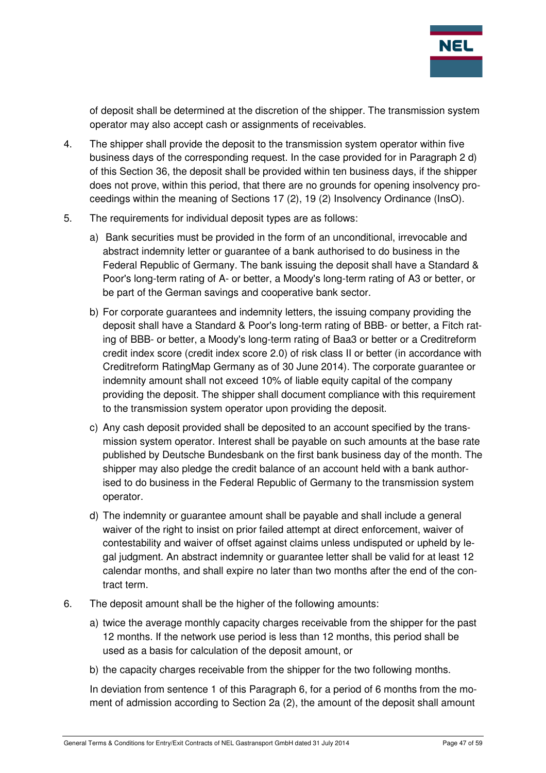

of deposit shall be determined at the discretion of the shipper. The transmission system operator may also accept cash or assignments of receivables.

- 4. The shipper shall provide the deposit to the transmission system operator within five business days of the corresponding request. In the case provided for in Paragraph 2 d) of this Section 36, the deposit shall be provided within ten business days, if the shipper does not prove, within this period, that there are no grounds for opening insolvency proceedings within the meaning of Sections 17 (2), 19 (2) Insolvency Ordinance (InsO).
- 5. The requirements for individual deposit types are as follows:
	- a) Bank securities must be provided in the form of an unconditional, irrevocable and abstract indemnity letter or guarantee of a bank authorised to do business in the Federal Republic of Germany. The bank issuing the deposit shall have a Standard & Poor's long-term rating of A- or better, a Moody's long-term rating of A3 or better, or be part of the German savings and cooperative bank sector.
	- b) For corporate guarantees and indemnity letters, the issuing company providing the deposit shall have a Standard & Poor's long-term rating of BBB- or better, a Fitch rating of BBB- or better, a Moody's long-term rating of Baa3 or better or a Creditreform credit index score (credit index score 2.0) of risk class II or better (in accordance with Creditreform RatingMap Germany as of 30 June 2014). The corporate guarantee or indemnity amount shall not exceed 10% of liable equity capital of the company providing the deposit. The shipper shall document compliance with this requirement to the transmission system operator upon providing the deposit.
	- c) Any cash deposit provided shall be deposited to an account specified by the transmission system operator. Interest shall be payable on such amounts at the base rate published by Deutsche Bundesbank on the first bank business day of the month. The shipper may also pledge the credit balance of an account held with a bank authorised to do business in the Federal Republic of Germany to the transmission system operator.
	- d) The indemnity or guarantee amount shall be payable and shall include a general waiver of the right to insist on prior failed attempt at direct enforcement, waiver of contestability and waiver of offset against claims unless undisputed or upheld by legal judgment. An abstract indemnity or guarantee letter shall be valid for at least 12 calendar months, and shall expire no later than two months after the end of the contract term.
- 6. The deposit amount shall be the higher of the following amounts:
	- a) twice the average monthly capacity charges receivable from the shipper for the past 12 months. If the network use period is less than 12 months, this period shall be used as a basis for calculation of the deposit amount, or
	- b) the capacity charges receivable from the shipper for the two following months.

In deviation from sentence 1 of this Paragraph 6, for a period of 6 months from the moment of admission according to Section 2a (2), the amount of the deposit shall amount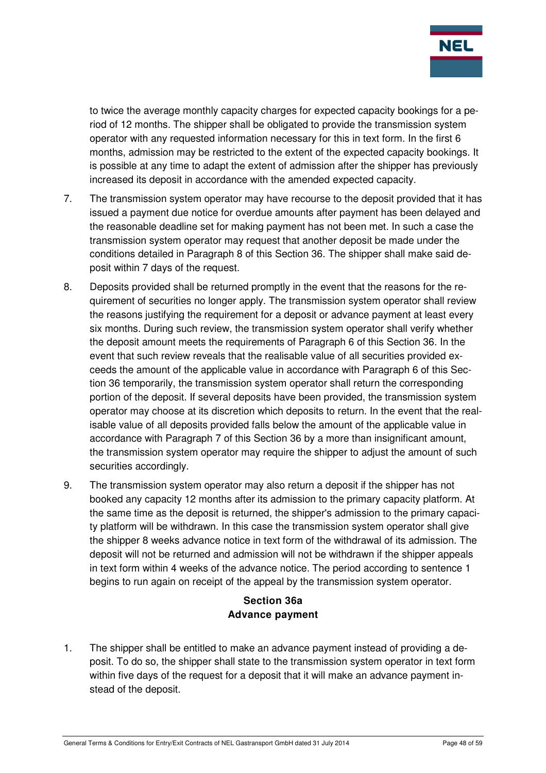

to twice the average monthly capacity charges for expected capacity bookings for a period of 12 months. The shipper shall be obligated to provide the transmission system operator with any requested information necessary for this in text form. In the first 6 months, admission may be restricted to the extent of the expected capacity bookings. It is possible at any time to adapt the extent of admission after the shipper has previously increased its deposit in accordance with the amended expected capacity.

- 7. The transmission system operator may have recourse to the deposit provided that it has issued a payment due notice for overdue amounts after payment has been delayed and the reasonable deadline set for making payment has not been met. In such a case the transmission system operator may request that another deposit be made under the conditions detailed in Paragraph 8 of this Section 36. The shipper shall make said deposit within 7 days of the request.
- 8. Deposits provided shall be returned promptly in the event that the reasons for the requirement of securities no longer apply. The transmission system operator shall review the reasons justifying the requirement for a deposit or advance payment at least every six months. During such review, the transmission system operator shall verify whether the deposit amount meets the requirements of Paragraph 6 of this Section 36. In the event that such review reveals that the realisable value of all securities provided exceeds the amount of the applicable value in accordance with Paragraph 6 of this Section 36 temporarily, the transmission system operator shall return the corresponding portion of the deposit. If several deposits have been provided, the transmission system operator may choose at its discretion which deposits to return. In the event that the realisable value of all deposits provided falls below the amount of the applicable value in accordance with Paragraph 7 of this Section 36 by a more than insignificant amount, the transmission system operator may require the shipper to adjust the amount of such securities accordingly.
- 9. The transmission system operator may also return a deposit if the shipper has not booked any capacity 12 months after its admission to the primary capacity platform. At the same time as the deposit is returned, the shipper's admission to the primary capacity platform will be withdrawn. In this case the transmission system operator shall give the shipper 8 weeks advance notice in text form of the withdrawal of its admission. The deposit will not be returned and admission will not be withdrawn if the shipper appeals in text form within 4 weeks of the advance notice. The period according to sentence 1 begins to run again on receipt of the appeal by the transmission system operator.

## **Section 36a Advance payment**

1. The shipper shall be entitled to make an advance payment instead of providing a deposit. To do so, the shipper shall state to the transmission system operator in text form within five days of the request for a deposit that it will make an advance payment instead of the deposit.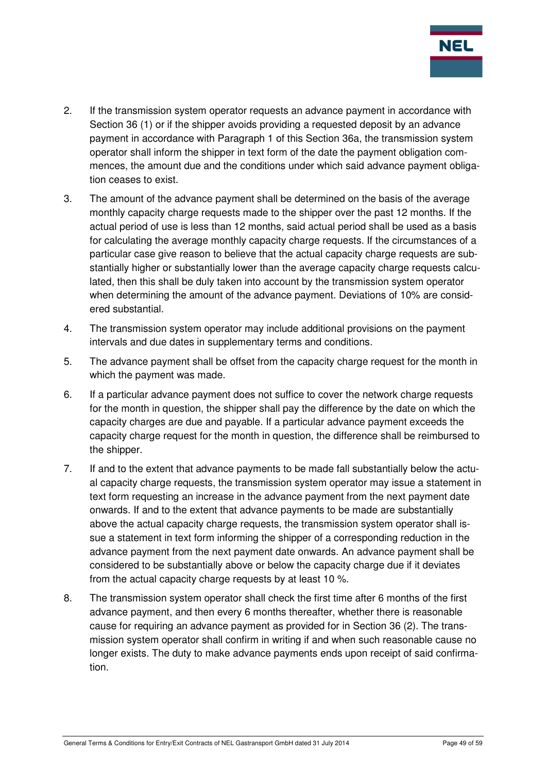

- 2. If the transmission system operator requests an advance payment in accordance with Section 36 (1) or if the shipper avoids providing a requested deposit by an advance payment in accordance with Paragraph 1 of this Section 36a, the transmission system operator shall inform the shipper in text form of the date the payment obligation commences, the amount due and the conditions under which said advance payment obligation ceases to exist.
- 3. The amount of the advance payment shall be determined on the basis of the average monthly capacity charge requests made to the shipper over the past 12 months. If the actual period of use is less than 12 months, said actual period shall be used as a basis for calculating the average monthly capacity charge requests. If the circumstances of a particular case give reason to believe that the actual capacity charge requests are substantially higher or substantially lower than the average capacity charge requests calculated, then this shall be duly taken into account by the transmission system operator when determining the amount of the advance payment. Deviations of 10% are considered substantial.
- 4. The transmission system operator may include additional provisions on the payment intervals and due dates in supplementary terms and conditions.
- 5. The advance payment shall be offset from the capacity charge request for the month in which the payment was made.
- 6. If a particular advance payment does not suffice to cover the network charge requests for the month in question, the shipper shall pay the difference by the date on which the capacity charges are due and payable. If a particular advance payment exceeds the capacity charge request for the month in question, the difference shall be reimbursed to the shipper.
- 7. If and to the extent that advance payments to be made fall substantially below the actual capacity charge requests, the transmission system operator may issue a statement in text form requesting an increase in the advance payment from the next payment date onwards. If and to the extent that advance payments to be made are substantially above the actual capacity charge requests, the transmission system operator shall issue a statement in text form informing the shipper of a corresponding reduction in the advance payment from the next payment date onwards. An advance payment shall be considered to be substantially above or below the capacity charge due if it deviates from the actual capacity charge requests by at least 10 %.
- 8. The transmission system operator shall check the first time after 6 months of the first advance payment, and then every 6 months thereafter, whether there is reasonable cause for requiring an advance payment as provided for in Section 36 (2). The transmission system operator shall confirm in writing if and when such reasonable cause no longer exists. The duty to make advance payments ends upon receipt of said confirmation.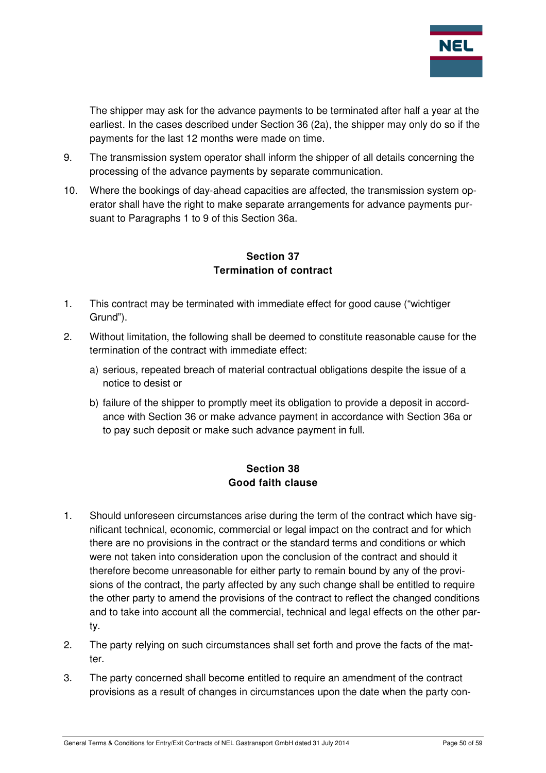

The shipper may ask for the advance payments to be terminated after half a year at the earliest. In the cases described under Section 36 (2a), the shipper may only do so if the payments for the last 12 months were made on time.

- 9. The transmission system operator shall inform the shipper of all details concerning the processing of the advance payments by separate communication.
- 10. Where the bookings of day-ahead capacities are affected, the transmission system operator shall have the right to make separate arrangements for advance payments pursuant to Paragraphs 1 to 9 of this Section 36a.

### **Section 37 Termination of contract**

- 1. This contract may be terminated with immediate effect for good cause ("wichtiger Grund").
- 2. Without limitation, the following shall be deemed to constitute reasonable cause for the termination of the contract with immediate effect:
	- a) serious, repeated breach of material contractual obligations despite the issue of a notice to desist or
	- b) failure of the shipper to promptly meet its obligation to provide a deposit in accordance with Section 36 or make advance payment in accordance with Section 36a or to pay such deposit or make such advance payment in full.

# **Section 38 Good faith clause**

- 1. Should unforeseen circumstances arise during the term of the contract which have significant technical, economic, commercial or legal impact on the contract and for which there are no provisions in the contract or the standard terms and conditions or which were not taken into consideration upon the conclusion of the contract and should it therefore become unreasonable for either party to remain bound by any of the provisions of the contract, the party affected by any such change shall be entitled to require the other party to amend the provisions of the contract to reflect the changed conditions and to take into account all the commercial, technical and legal effects on the other party.
- 2. The party relying on such circumstances shall set forth and prove the facts of the matter.
- 3. The party concerned shall become entitled to require an amendment of the contract provisions as a result of changes in circumstances upon the date when the party con-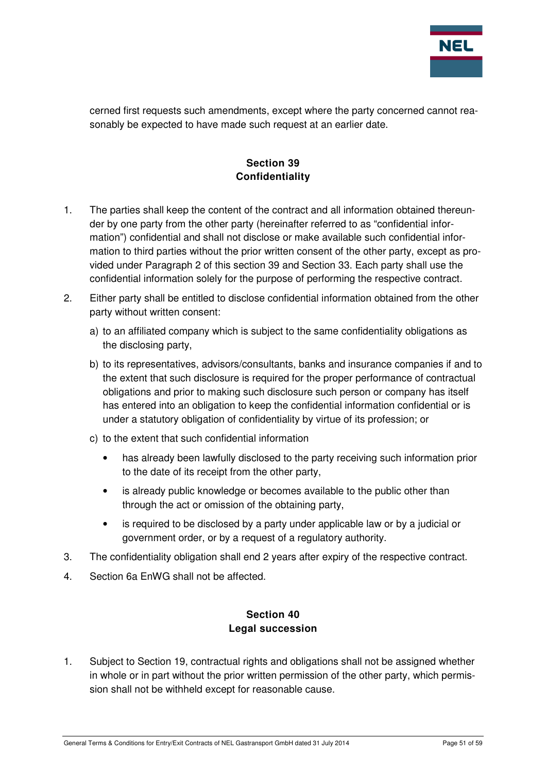

cerned first requests such amendments, except where the party concerned cannot reasonably be expected to have made such request at an earlier date.

# **Section 39 Confidentiality**

- 1. The parties shall keep the content of the contract and all information obtained thereunder by one party from the other party (hereinafter referred to as "confidential information") confidential and shall not disclose or make available such confidential information to third parties without the prior written consent of the other party, except as provided under Paragraph 2 of this section 39 and Section 33. Each party shall use the confidential information solely for the purpose of performing the respective contract.
- 2. Either party shall be entitled to disclose confidential information obtained from the other party without written consent:
	- a) to an affiliated company which is subject to the same confidentiality obligations as the disclosing party,
	- b) to its representatives, advisors/consultants, banks and insurance companies if and to the extent that such disclosure is required for the proper performance of contractual obligations and prior to making such disclosure such person or company has itself has entered into an obligation to keep the confidential information confidential or is under a statutory obligation of confidentiality by virtue of its profession; or
	- c) to the extent that such confidential information
		- has already been lawfully disclosed to the party receiving such information prior to the date of its receipt from the other party,
		- is already public knowledge or becomes available to the public other than through the act or omission of the obtaining party,
		- is required to be disclosed by a party under applicable law or by a judicial or government order, or by a request of a regulatory authority.
- 3. The confidentiality obligation shall end 2 years after expiry of the respective contract.
- 4. Section 6a EnWG shall not be affected.

## **Section 40 Legal succession**

1. Subject to Section 19, contractual rights and obligations shall not be assigned whether in whole or in part without the prior written permission of the other party, which permission shall not be withheld except for reasonable cause.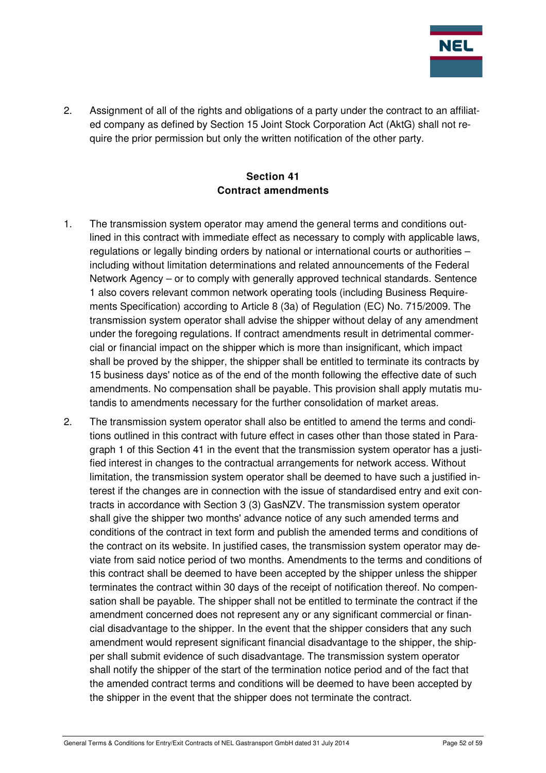

2. Assignment of all of the rights and obligations of a party under the contract to an affiliated company as defined by Section 15 Joint Stock Corporation Act (AktG) shall not require the prior permission but only the written notification of the other party.

# **Section 41 Contract amendments**

- 1. The transmission system operator may amend the general terms and conditions outlined in this contract with immediate effect as necessary to comply with applicable laws, regulations or legally binding orders by national or international courts or authorities – including without limitation determinations and related announcements of the Federal Network Agency – or to comply with generally approved technical standards. Sentence 1 also covers relevant common network operating tools (including Business Requirements Specification) according to Article 8 (3a) of Regulation (EC) No. 715/2009. The transmission system operator shall advise the shipper without delay of any amendment under the foregoing regulations. If contract amendments result in detrimental commercial or financial impact on the shipper which is more than insignificant, which impact shall be proved by the shipper, the shipper shall be entitled to terminate its contracts by 15 business days' notice as of the end of the month following the effective date of such amendments. No compensation shall be payable. This provision shall apply mutatis mutandis to amendments necessary for the further consolidation of market areas.
- 2. The transmission system operator shall also be entitled to amend the terms and conditions outlined in this contract with future effect in cases other than those stated in Paragraph 1 of this Section 41 in the event that the transmission system operator has a justified interest in changes to the contractual arrangements for network access. Without limitation, the transmission system operator shall be deemed to have such a justified interest if the changes are in connection with the issue of standardised entry and exit contracts in accordance with Section 3 (3) GasNZV. The transmission system operator shall give the shipper two months' advance notice of any such amended terms and conditions of the contract in text form and publish the amended terms and conditions of the contract on its website. In justified cases, the transmission system operator may deviate from said notice period of two months. Amendments to the terms and conditions of this contract shall be deemed to have been accepted by the shipper unless the shipper terminates the contract within 30 days of the receipt of notification thereof. No compensation shall be payable. The shipper shall not be entitled to terminate the contract if the amendment concerned does not represent any or any significant commercial or financial disadvantage to the shipper. In the event that the shipper considers that any such amendment would represent significant financial disadvantage to the shipper, the shipper shall submit evidence of such disadvantage. The transmission system operator shall notify the shipper of the start of the termination notice period and of the fact that the amended contract terms and conditions will be deemed to have been accepted by the shipper in the event that the shipper does not terminate the contract.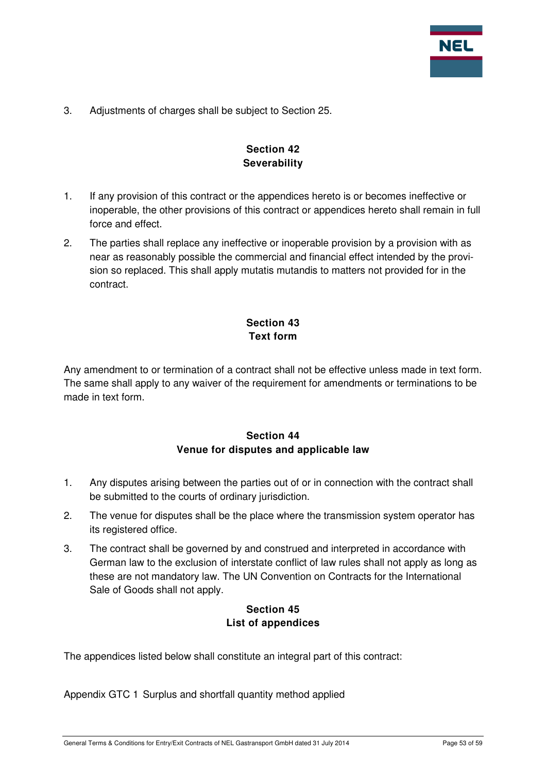

3. Adjustments of charges shall be subject to Section 25.

# **Section 42 Severability**

- 1. If any provision of this contract or the appendices hereto is or becomes ineffective or inoperable, the other provisions of this contract or appendices hereto shall remain in full force and effect.
- 2. The parties shall replace any ineffective or inoperable provision by a provision with as near as reasonably possible the commercial and financial effect intended by the provision so replaced. This shall apply mutatis mutandis to matters not provided for in the contract.

# **Section 43 Text form**

Any amendment to or termination of a contract shall not be effective unless made in text form. The same shall apply to any waiver of the requirement for amendments or terminations to be made in text form.

# **Section 44 Venue for disputes and applicable law**

- 1. Any disputes arising between the parties out of or in connection with the contract shall be submitted to the courts of ordinary jurisdiction.
- 2. The venue for disputes shall be the place where the transmission system operator has its registered office.
- 3. The contract shall be governed by and construed and interpreted in accordance with German law to the exclusion of interstate conflict of law rules shall not apply as long as these are not mandatory law. The UN Convention on Contracts for the International Sale of Goods shall not apply.

# **Section 45 List of appendices**

The appendices listed below shall constitute an integral part of this contract:

Appendix GTC 1 Surplus and shortfall quantity method applied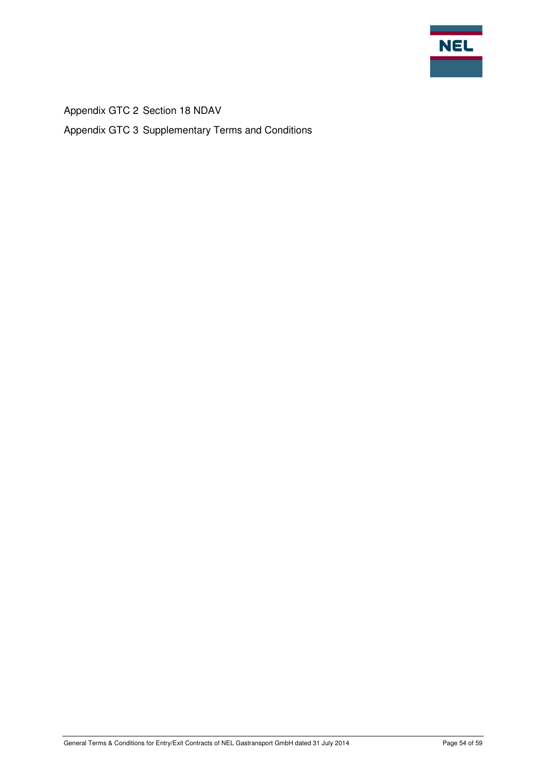

Appendix GTC 2 Section 18 NDAV Appendix GTC 3 Supplementary Terms and Conditions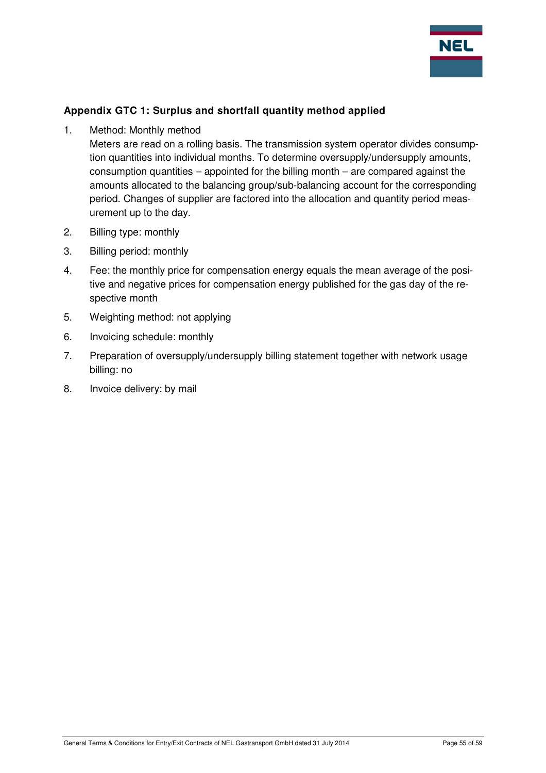

## **Appendix GTC 1: Surplus and shortfall quantity method applied**

1. Method: Monthly method

Meters are read on a rolling basis. The transmission system operator divides consumption quantities into individual months. To determine oversupply/undersupply amounts, consumption quantities – appointed for the billing month – are compared against the amounts allocated to the balancing group/sub-balancing account for the corresponding period. Changes of supplier are factored into the allocation and quantity period measurement up to the day.

- 2. Billing type: monthly
- 3. Billing period: monthly
- 4. Fee: the monthly price for compensation energy equals the mean average of the positive and negative prices for compensation energy published for the gas day of the respective month
- 5. Weighting method: not applying
- 6. Invoicing schedule: monthly
- 7. Preparation of oversupply/undersupply billing statement together with network usage billing: no
- 8. Invoice delivery: by mail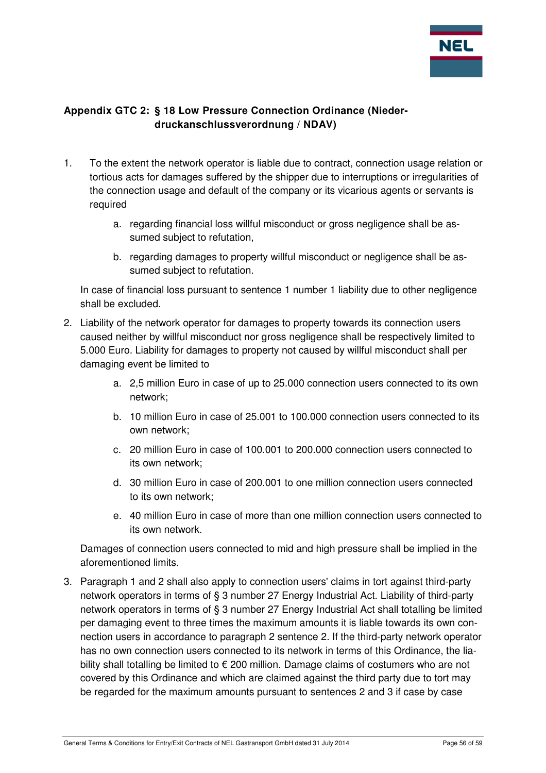

# **Appendix GTC 2: § 18 Low Pressure Connection Ordinance (Niederdruckanschlussverordnung / NDAV)**

- 1. To the extent the network operator is liable due to contract, connection usage relation or tortious acts for damages suffered by the shipper due to interruptions or irregularities of the connection usage and default of the company or its vicarious agents or servants is required
	- a. regarding financial loss willful misconduct or gross negligence shall be assumed subject to refutation,
	- b. regarding damages to property willful misconduct or negligence shall be assumed subject to refutation.

In case of financial loss pursuant to sentence 1 number 1 liability due to other negligence shall be excluded.

- 2. Liability of the network operator for damages to property towards its connection users caused neither by willful misconduct nor gross negligence shall be respectively limited to 5.000 Euro. Liability for damages to property not caused by willful misconduct shall per damaging event be limited to
	- a. 2,5 million Euro in case of up to 25.000 connection users connected to its own network;
	- b. 10 million Euro in case of 25.001 to 100.000 connection users connected to its own network;
	- c. 20 million Euro in case of 100.001 to 200.000 connection users connected to its own network;
	- d. 30 million Euro in case of 200.001 to one million connection users connected to its own network;
	- e. 40 million Euro in case of more than one million connection users connected to its own network.

Damages of connection users connected to mid and high pressure shall be implied in the aforementioned limits.

3. Paragraph 1 and 2 shall also apply to connection users' claims in tort against third-party network operators in terms of § 3 number 27 Energy Industrial Act. Liability of third-party network operators in terms of § 3 number 27 Energy Industrial Act shall totalling be limited per damaging event to three times the maximum amounts it is liable towards its own connection users in accordance to paragraph 2 sentence 2. If the third-party network operator has no own connection users connected to its network in terms of this Ordinance, the liability shall totalling be limited to € 200 million. Damage claims of costumers who are not covered by this Ordinance and which are claimed against the third party due to tort may be regarded for the maximum amounts pursuant to sentences 2 and 3 if case by case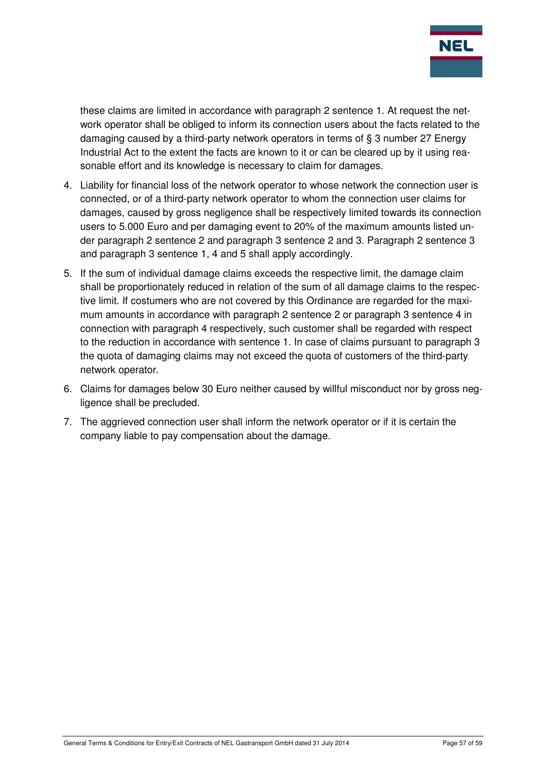

these claims are limited in accordance with paragraph 2 sentence 1. At request the network operator shall be obliged to inform its connection users about the facts related to the damaging caused by a third-party network operators in terms of § 3 number 27 Energy Industrial Act to the extent the facts are known to it or can be cleared up by it using reasonable effort and its knowledge is necessary to claim for damages.

- 4. Liability for financial loss of the network operator to whose network the connection user is connected, or of a third-party network operator to whom the connection user claims for damages, caused by gross negligence shall be respectively limited towards its connection users to 5.000 Euro and per damaging event to 20% of the maximum amounts listed under paragraph 2 sentence 2 and paragraph 3 sentence 2 and 3. Paragraph 2 sentence 3 and paragraph 3 sentence 1, 4 and 5 shall apply accordingly.
- 5. If the sum of individual damage claims exceeds the respective limit, the damage claim shall be proportionately reduced in relation of the sum of all damage claims to the respective limit. If costumers who are not covered by this Ordinance are regarded for the maximum amounts in accordance with paragraph 2 sentence 2 or paragraph 3 sentence 4 in connection with paragraph 4 respectively, such customer shall be regarded with respect to the reduction in accordance with sentence 1. In case of claims pursuant to paragraph 3 the quota of damaging claims may not exceed the quota of customers of the third-party network operator.
- 6. Claims for damages below 30 Euro neither caused by willful misconduct nor by gross negligence shall be precluded.
- 7. The aggrieved connection user shall inform the network operator or if it is certain the company liable to pay compensation about the damage.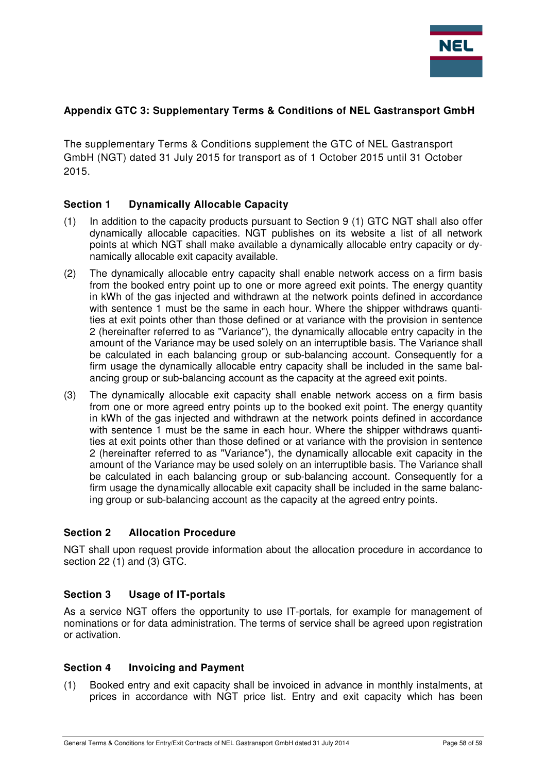

#### **Appendix GTC 3: Supplementary Terms & Conditions of NEL Gastransport GmbH**

The supplementary Terms & Conditions supplement the GTC of NEL Gastransport GmbH (NGT) dated 31 July 2015 for transport as of 1 October 2015 until 31 October 2015.

#### **Section 1 Dynamically Allocable Capacity**

- (1) In addition to the capacity products pursuant to Section 9 (1) GTC NGT shall also offer dynamically allocable capacities. NGT publishes on its website a list of all network points at which NGT shall make available a dynamically allocable entry capacity or dynamically allocable exit capacity available.
- (2) The dynamically allocable entry capacity shall enable network access on a firm basis from the booked entry point up to one or more agreed exit points. The energy quantity in kWh of the gas injected and withdrawn at the network points defined in accordance with sentence 1 must be the same in each hour. Where the shipper withdraws quantities at exit points other than those defined or at variance with the provision in sentence 2 (hereinafter referred to as "Variance"), the dynamically allocable entry capacity in the amount of the Variance may be used solely on an interruptible basis. The Variance shall be calculated in each balancing group or sub-balancing account. Consequently for a firm usage the dynamically allocable entry capacity shall be included in the same balancing group or sub-balancing account as the capacity at the agreed exit points.
- (3) The dynamically allocable exit capacity shall enable network access on a firm basis from one or more agreed entry points up to the booked exit point. The energy quantity in kWh of the gas injected and withdrawn at the network points defined in accordance with sentence 1 must be the same in each hour. Where the shipper withdraws quantities at exit points other than those defined or at variance with the provision in sentence 2 (hereinafter referred to as "Variance"), the dynamically allocable exit capacity in the amount of the Variance may be used solely on an interruptible basis. The Variance shall be calculated in each balancing group or sub-balancing account. Consequently for a firm usage the dynamically allocable exit capacity shall be included in the same balancing group or sub-balancing account as the capacity at the agreed entry points.

#### **Section 2 Allocation Procedure**

NGT shall upon request provide information about the allocation procedure in accordance to section 22 (1) and (3) GTC.

#### **Section 3 Usage of IT-portals**

As a service NGT offers the opportunity to use IT-portals, for example for management of nominations or for data administration. The terms of service shall be agreed upon registration or activation.

#### **Section 4 Invoicing and Payment**

(1) Booked entry and exit capacity shall be invoiced in advance in monthly instalments, at prices in accordance with NGT price list. Entry and exit capacity which has been